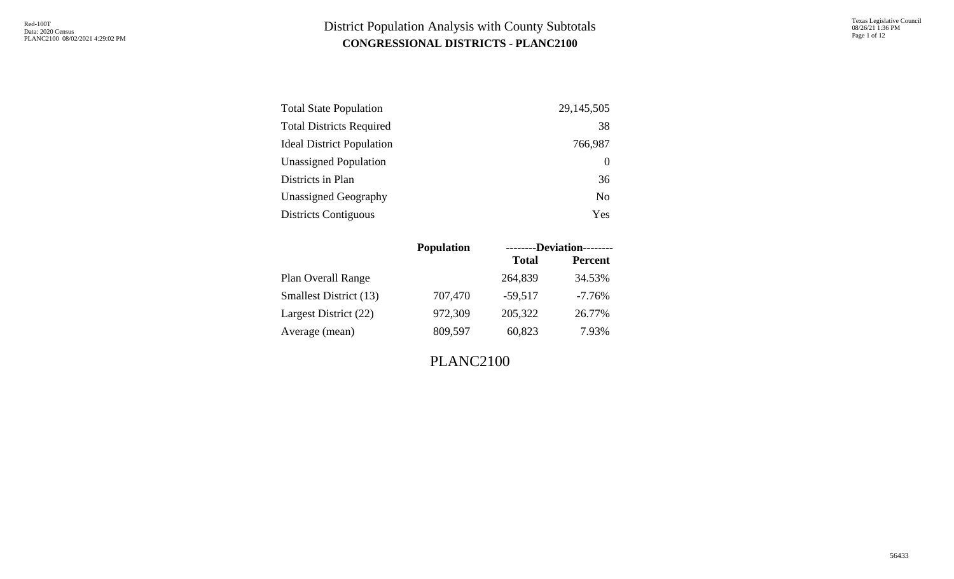Texas Legislative Council 08/26/21 1:36 PM Page 1 of 12

| <b>Total State Population</b>    | 29, 145, 505   |
|----------------------------------|----------------|
| <b>Total Districts Required</b>  | 38             |
| <b>Ideal District Population</b> | 766,987        |
| <b>Unassigned Population</b>     | $\theta$       |
| Districts in Plan                | 36             |
| Unassigned Geography             | N <sub>0</sub> |
| <b>Districts Contiguous</b>      | Yes            |

|                               | <b>Population</b> |              | --------Deviation-------- |
|-------------------------------|-------------------|--------------|---------------------------|
|                               |                   | <b>Total</b> | <b>Percent</b>            |
| Plan Overall Range            |                   | 264,839      | 34.53%                    |
| <b>Smallest District (13)</b> | 707,470           | $-59,517$    | $-7.76\%$                 |
| Largest District (22)         | 972,309           | 205,322      | 26.77%                    |
| Average (mean)                | 809,597           | 60,823       | 7.93%                     |

PLANC2100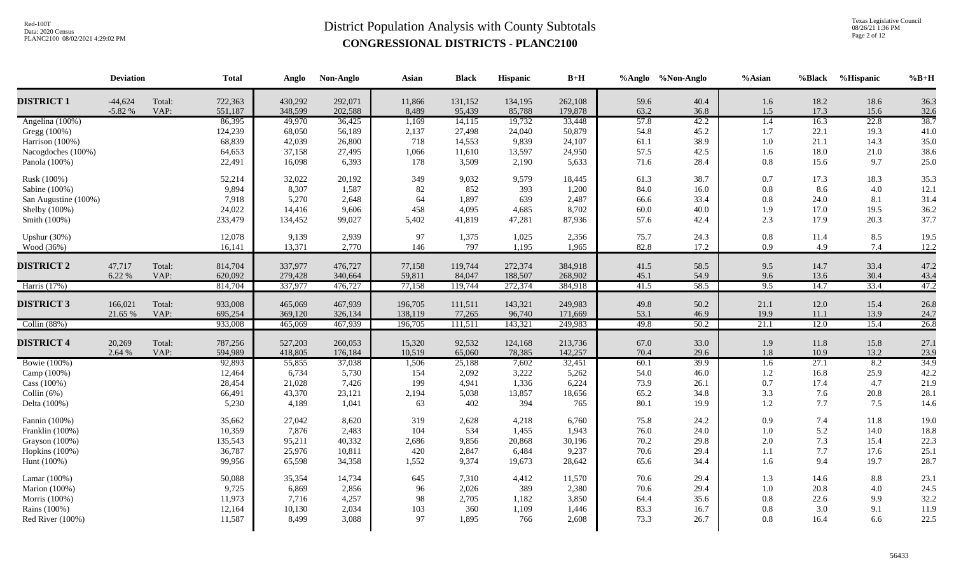Texas Legislative Council 08/26/21 1:36 PM Page 2 of 12

| <b>DISTRICT 1</b><br>$-44,624$<br>722,363<br>430,292<br>292,071<br>262,108<br>Total:<br>11,866<br>131,152<br>134,195<br>59.6<br>40.4<br>1.6<br>18.2<br>$-5.82%$<br>VAP:<br>551,187<br>348,599<br>202,588<br>8,489<br>63.2<br>1.5<br>17.3<br>95,439<br>85,788<br>179,878<br>36.8<br>57.8<br>86,395<br>36,425<br>14,115<br>19,732<br>33,448<br>42.2<br>16.3<br>Angelina (100%)<br>49,970<br>1,169<br>1.4<br>Gregg (100%)<br>124,239<br>50,879<br>54.8<br>45.2<br>22.1<br>68,050<br>56,189<br>2,137<br>27,498<br>24,040<br>1.7<br>68,839<br>26,800<br>Harrison (100%)<br>42,039<br>718<br>14,553<br>9,839<br>24,107<br>61.1<br>38.9<br>1.0<br>21.1<br>64,653<br>57.5<br>18.0<br>37,158<br>27,495<br>1,066<br>11,610<br>13,597<br>24,950<br>42.5<br>1.6<br>Nacogdoches (100%)<br>22,491<br>71.6<br>Panola (100%)<br>16,098<br>6,393<br>178<br>3,509<br>2,190<br>5,633<br>28.4<br>0.8<br>15.6<br>52,214<br>20,192<br>9,579<br>38.7<br>Rusk (100%)<br>32,022<br>349<br>9,032<br>18,445<br>61.3<br>0.7<br>17.3<br>9,894<br>8,307<br>1,587<br>82<br>852<br>393<br>1,200<br>84.0<br>$0.8\,$<br>8.6<br>Sabine (100%)<br>16.0 | 18.6<br>15.6<br>22.8<br>19.3<br>14.3<br>21.0 | 36.3<br>32.6<br>38.7<br>41.0 |
|--------------------------------------------------------------------------------------------------------------------------------------------------------------------------------------------------------------------------------------------------------------------------------------------------------------------------------------------------------------------------------------------------------------------------------------------------------------------------------------------------------------------------------------------------------------------------------------------------------------------------------------------------------------------------------------------------------------------------------------------------------------------------------------------------------------------------------------------------------------------------------------------------------------------------------------------------------------------------------------------------------------------------------------------------------------------------------------------------------------------|----------------------------------------------|------------------------------|
|                                                                                                                                                                                                                                                                                                                                                                                                                                                                                                                                                                                                                                                                                                                                                                                                                                                                                                                                                                                                                                                                                                                    |                                              |                              |
|                                                                                                                                                                                                                                                                                                                                                                                                                                                                                                                                                                                                                                                                                                                                                                                                                                                                                                                                                                                                                                                                                                                    |                                              |                              |
|                                                                                                                                                                                                                                                                                                                                                                                                                                                                                                                                                                                                                                                                                                                                                                                                                                                                                                                                                                                                                                                                                                                    |                                              |                              |
|                                                                                                                                                                                                                                                                                                                                                                                                                                                                                                                                                                                                                                                                                                                                                                                                                                                                                                                                                                                                                                                                                                                    |                                              |                              |
|                                                                                                                                                                                                                                                                                                                                                                                                                                                                                                                                                                                                                                                                                                                                                                                                                                                                                                                                                                                                                                                                                                                    |                                              | 35.0                         |
|                                                                                                                                                                                                                                                                                                                                                                                                                                                                                                                                                                                                                                                                                                                                                                                                                                                                                                                                                                                                                                                                                                                    |                                              | 38.6                         |
|                                                                                                                                                                                                                                                                                                                                                                                                                                                                                                                                                                                                                                                                                                                                                                                                                                                                                                                                                                                                                                                                                                                    | 9.7                                          | 25.0                         |
|                                                                                                                                                                                                                                                                                                                                                                                                                                                                                                                                                                                                                                                                                                                                                                                                                                                                                                                                                                                                                                                                                                                    | 18.3                                         | 35.3                         |
|                                                                                                                                                                                                                                                                                                                                                                                                                                                                                                                                                                                                                                                                                                                                                                                                                                                                                                                                                                                                                                                                                                                    | 4.0                                          | 12.1                         |
| 7,918<br>2,648<br>64<br>639<br>2,487<br>24.0<br>San Augustine (100%)<br>5,270<br>1,897<br>66.6<br>33.4<br>0.8                                                                                                                                                                                                                                                                                                                                                                                                                                                                                                                                                                                                                                                                                                                                                                                                                                                                                                                                                                                                      | 8.1                                          | 31.4                         |
| 4,685<br>Shelby (100%)<br>24,022<br>9,606<br>458<br>4,095<br>8,702<br>60.0<br>40.0<br>1.9<br>17.0<br>14,416                                                                                                                                                                                                                                                                                                                                                                                                                                                                                                                                                                                                                                                                                                                                                                                                                                                                                                                                                                                                        | 19.5                                         | 36.2                         |
| 233,479<br>99,027<br>2.3<br>Smith (100%)<br>134,452<br>5,402<br>41,819<br>47,281<br>87,936<br>57.6<br>42.4<br>17.9                                                                                                                                                                                                                                                                                                                                                                                                                                                                                                                                                                                                                                                                                                                                                                                                                                                                                                                                                                                                 | 20.3                                         | 37.7                         |
| Upshur $(30\%)$<br>12,078<br>9,139<br>2,939<br>97<br>2,356<br>24.3<br>0.8<br>1,375<br>1,025<br>75.7<br>11.4                                                                                                                                                                                                                                                                                                                                                                                                                                                                                                                                                                                                                                                                                                                                                                                                                                                                                                                                                                                                        | 8.5                                          | 19.5                         |
| 82.8<br>4.9<br>Wood (36%)<br>16,141<br>13,371<br>2,770<br>146<br>797<br>1,195<br>1,965<br>17.2<br>0.9                                                                                                                                                                                                                                                                                                                                                                                                                                                                                                                                                                                                                                                                                                                                                                                                                                                                                                                                                                                                              | 7.4                                          | 12.2                         |
| <b>DISTRICT 2</b><br>47,717<br>Total:<br>814,704<br>337,977<br>476,727<br>77,158<br>119,744<br>272,374<br>384,918<br>41.5<br>58.5<br>9.5<br>14.7                                                                                                                                                                                                                                                                                                                                                                                                                                                                                                                                                                                                                                                                                                                                                                                                                                                                                                                                                                   | 33.4                                         | 47.2                         |
| 6.22 %<br>VAP:<br>620,092<br>279,428<br>340,664<br>59,811<br>84,047<br>188,507<br>268,902<br>45.1<br>54.9<br>9.6<br>13.6                                                                                                                                                                                                                                                                                                                                                                                                                                                                                                                                                                                                                                                                                                                                                                                                                                                                                                                                                                                           | 30.4                                         | 43.4                         |
| 77,158<br>9.5<br>Harris (17%)<br>814,704<br>337,977<br>119,744<br>272,374<br>384,918<br>41.5<br>58.5<br>14.7<br>476,727                                                                                                                                                                                                                                                                                                                                                                                                                                                                                                                                                                                                                                                                                                                                                                                                                                                                                                                                                                                            | 33.4                                         | 47.2                         |
|                                                                                                                                                                                                                                                                                                                                                                                                                                                                                                                                                                                                                                                                                                                                                                                                                                                                                                                                                                                                                                                                                                                    |                                              |                              |
| <b>DISTRICT 3</b><br>166,021<br>933,008<br>465,069<br>467,939<br>196,705<br>111,511<br>143,321<br>249,983<br>49.8<br>50.2<br>Total:<br>21.1<br>12.0                                                                                                                                                                                                                                                                                                                                                                                                                                                                                                                                                                                                                                                                                                                                                                                                                                                                                                                                                                | 15.4                                         | 26.8                         |
| 21.65 %<br>VAP:<br>695,254<br>369,120<br>326,134<br>138,119<br>77,265<br>96,740<br>171,669<br>53.1<br>46.9<br>19.9<br>11.1                                                                                                                                                                                                                                                                                                                                                                                                                                                                                                                                                                                                                                                                                                                                                                                                                                                                                                                                                                                         | 13.9                                         | 24.7                         |
| 933,008<br>50.2<br>21.1<br>12.0<br>Collin $(88%)$<br>465,069<br>467,939<br>196,705<br>111,511<br>143,321<br>249,983<br>49.8                                                                                                                                                                                                                                                                                                                                                                                                                                                                                                                                                                                                                                                                                                                                                                                                                                                                                                                                                                                        | 15.4                                         | 26.8                         |
| <b>DISTRICT 4</b><br>787,256<br>20,269<br>Total:<br>527,203<br>260,053<br>15,320<br>92,532<br>124,168<br>213,736<br>67.0<br>33.0<br>1.9<br>11.8                                                                                                                                                                                                                                                                                                                                                                                                                                                                                                                                                                                                                                                                                                                                                                                                                                                                                                                                                                    | 15.8                                         | 27.1                         |
| 2.64 %<br>VAP:<br>594,989<br>418,805<br>10,519<br>65,060<br>78,385<br>142,257<br>70.4<br>29.6<br>1.8<br>10.9<br>176,184                                                                                                                                                                                                                                                                                                                                                                                                                                                                                                                                                                                                                                                                                                                                                                                                                                                                                                                                                                                            | 13.2                                         | 23.9                         |
| 27.1<br><b>Bowie</b> (100%)<br>92,893<br>39.9<br>55,855<br>37,038<br>1,506<br>25,188<br>7,602<br>32,451<br>60.1<br>$\overline{1.6}$                                                                                                                                                                                                                                                                                                                                                                                                                                                                                                                                                                                                                                                                                                                                                                                                                                                                                                                                                                                | 8.2                                          | 34.9                         |
| 12,464<br>5,730<br>3,222<br>5,262<br>46.0<br>1.2<br>16.8<br>Camp (100%)<br>6,734<br>154<br>2,092<br>54.0                                                                                                                                                                                                                                                                                                                                                                                                                                                                                                                                                                                                                                                                                                                                                                                                                                                                                                                                                                                                           | 25.9                                         | 42.2                         |
| Cass (100%)<br>28,454<br>21,028<br>7,426<br>199<br>1,336<br>6,224<br>73.9<br>26.1<br>0.7<br>17.4<br>4,941                                                                                                                                                                                                                                                                                                                                                                                                                                                                                                                                                                                                                                                                                                                                                                                                                                                                                                                                                                                                          | 4.7                                          | 21.9                         |
| 3.3<br>7.6<br>Collin $(6%)$<br>66,491<br>43,370<br>23,121<br>5,038<br>13,857<br>18,656<br>65.2<br>34.8<br>2,194                                                                                                                                                                                                                                                                                                                                                                                                                                                                                                                                                                                                                                                                                                                                                                                                                                                                                                                                                                                                    | 20.8                                         | 28.1                         |
| 5,230<br>394<br>80.1<br>1.2<br>7.7<br>Delta (100%)<br>4,189<br>1,041<br>63<br>402<br>765<br>19.9                                                                                                                                                                                                                                                                                                                                                                                                                                                                                                                                                                                                                                                                                                                                                                                                                                                                                                                                                                                                                   | 7.5                                          | 14.6                         |
| Fannin (100%)<br>35,662<br>27,042<br>8,620<br>319<br>2,628<br>4,218<br>6,760<br>75.8<br>24.2<br>0.9<br>7.4                                                                                                                                                                                                                                                                                                                                                                                                                                                                                                                                                                                                                                                                                                                                                                                                                                                                                                                                                                                                         | 11.8                                         | 19.0                         |
| 10,359<br>2,483<br>1,455<br>1,943<br>76.0<br>24.0<br>$1.0\,$<br>5.2<br>Franklin (100%)<br>7,876<br>104<br>534                                                                                                                                                                                                                                                                                                                                                                                                                                                                                                                                                                                                                                                                                                                                                                                                                                                                                                                                                                                                      | 14.0                                         | 18.8                         |
| 40,332<br>30,196<br>70.2<br>29.8<br>7.3<br>Grayson (100%)<br>135,543<br>95,211<br>2,686<br>9,856<br>20,868<br>2.0                                                                                                                                                                                                                                                                                                                                                                                                                                                                                                                                                                                                                                                                                                                                                                                                                                                                                                                                                                                                  | 15.4                                         | 22.3                         |
| 36,787<br>25,976<br>10,811<br>9,237<br>70.6<br>29.4<br>7.7<br>Hopkins (100%)<br>420<br>2,847<br>6,484<br>1.1                                                                                                                                                                                                                                                                                                                                                                                                                                                                                                                                                                                                                                                                                                                                                                                                                                                                                                                                                                                                       | 17.6                                         | 25.1                         |
| 99,956<br>34,358<br>9,374<br>19,673<br>28,642<br>65.6<br>1.6<br>9.4<br>Hunt $(100\%)$<br>65,598<br>1,552<br>34.4                                                                                                                                                                                                                                                                                                                                                                                                                                                                                                                                                                                                                                                                                                                                                                                                                                                                                                                                                                                                   | 19.7                                         | 28.7                         |
| Lamar (100%)<br>50,088<br>14,734<br>4,412<br>11,570<br>70.6<br>29.4<br>1.3<br>35,354<br>645<br>7,310<br>14.6                                                                                                                                                                                                                                                                                                                                                                                                                                                                                                                                                                                                                                                                                                                                                                                                                                                                                                                                                                                                       | 8.8                                          | 23.1                         |
| 389<br>20.8<br>Marion (100%)<br>9,725<br>2,856<br>2,380<br>70.6<br>29.4<br>1.0<br>6,869<br>96<br>2,026                                                                                                                                                                                                                                                                                                                                                                                                                                                                                                                                                                                                                                                                                                                                                                                                                                                                                                                                                                                                             | 4.0                                          | 24.5                         |
| 11,973<br>4,257<br>22.6<br>Morris (100%)<br>98<br>2,705<br>1,182<br>3,850<br>35.6<br>0.8<br>7,716<br>64.4                                                                                                                                                                                                                                                                                                                                                                                                                                                                                                                                                                                                                                                                                                                                                                                                                                                                                                                                                                                                          | 9.9                                          | 32.2                         |
| 2,034<br>1,109<br>3.0<br>Rains (100%)<br>12,164<br>10,130<br>103<br>360<br>1,446<br>83.3<br>16.7<br>0.8                                                                                                                                                                                                                                                                                                                                                                                                                                                                                                                                                                                                                                                                                                                                                                                                                                                                                                                                                                                                            | 9.1                                          | 11.9                         |
| 11,587<br>8,499<br>3,088<br>97<br>1,895<br>2,608<br>73.3<br>Red River (100%)<br>766<br>26.7<br>0.8<br>16.4                                                                                                                                                                                                                                                                                                                                                                                                                                                                                                                                                                                                                                                                                                                                                                                                                                                                                                                                                                                                         | 6.6                                          | 22.5                         |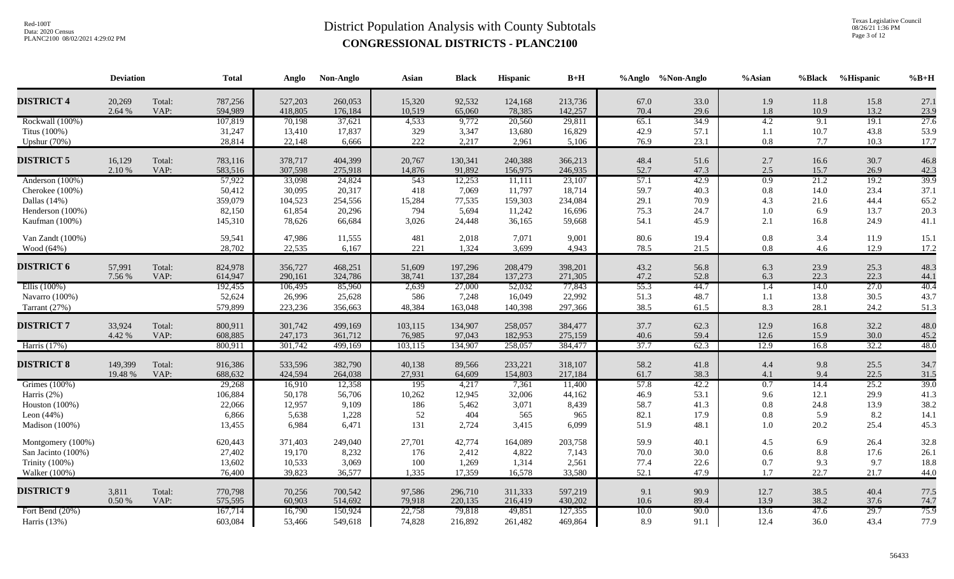Texas Legislative Council 08/26/21 1:36 PM Page 3 of 12

|                                                                                            | <b>Deviation</b>   |                | <b>Total</b>                                     | Anglo                                           | Non-Anglo                                       | Asian                                | <b>Black</b>                                 | <b>Hispanic</b>                                 | $\mathbf{B}+\mathbf{H}$                         |                                      | %Anglo %Non-Anglo                    | $%$ Asian                               | %Black                              | %Hispanic                            | $%B+H$                               |
|--------------------------------------------------------------------------------------------|--------------------|----------------|--------------------------------------------------|-------------------------------------------------|-------------------------------------------------|--------------------------------------|----------------------------------------------|-------------------------------------------------|-------------------------------------------------|--------------------------------------|--------------------------------------|-----------------------------------------|-------------------------------------|--------------------------------------|--------------------------------------|
| <b>DISTRICT 4</b>                                                                          | 20,269<br>2.64 %   | Total:<br>VAP: | 787,256<br>594,989                               | 527,203<br>418,805                              | 260,053<br>176,184                              | 15,320<br>10,519                     | 92,532<br>65,060                             | 124,168<br>78,385                               | 213,736<br>142,257                              | 67.0<br>70.4                         | 33.0<br>29.6                         | 1.9<br>1.8                              | 11.8<br>10.9                        | 15.8<br>13.2                         | 27.1<br>23.9                         |
| Rockwall (100%)<br>Titus (100%)<br>Upshur (70%)                                            |                    |                | 107,819<br>31,247<br>28,814                      | 70,198<br>13,410<br>22,148                      | 37,621<br>17,837<br>6,666                       | 4,533<br>329<br>222                  | 9,772<br>3,347<br>2,217                      | 20,560<br>13,680<br>2,961                       | 29,811<br>16,829<br>5,106                       | 65.1<br>42.9<br>76.9                 | 34.9<br>57.1<br>23.1                 | 4.2<br>1.1<br>$0.8\,$                   | 9.1<br>10.7<br>7.7                  | 19.1<br>43.8<br>10.3                 | 27.6<br>53.9<br>17.7                 |
| <b>DISTRICT 5</b>                                                                          | 16,129<br>2.10 %   | Total:<br>VAP: | 783,116<br>583,516                               | 378,717<br>307,598                              | 404,399<br>275,918                              | 20,767<br>14,876                     | 130,341<br>91,892                            | 240,388<br>156,975                              | 366,213<br>246,935                              | 48.4<br>52.7                         | 51.6<br>47.3                         | 2.7<br>2.5                              | 16.6<br>15.7                        | 30.7<br>26.9                         | 46.8<br>42.3                         |
| Anderson (100%)<br>Cherokee (100%)<br>Dallas $(14%)$<br>Henderson (100%)<br>Kaufman (100%) |                    |                | 57,922<br>50,412<br>359,079<br>82,150<br>145,310 | 33,098<br>30,095<br>104,523<br>61,854<br>78,626 | 24,824<br>20,317<br>254,556<br>20,296<br>66,684 | 543<br>418<br>15,284<br>794<br>3,026 | 12,253<br>7,069<br>77,535<br>5,694<br>24,448 | 11,111<br>11,797<br>159,303<br>11,242<br>36,165 | 23,107<br>18,714<br>234,084<br>16,696<br>59,668 | 57.1<br>59.7<br>29.1<br>75.3<br>54.1 | 42.9<br>40.3<br>70.9<br>24.7<br>45.9 | 0.9<br>$0.8\,$<br>4.3<br>$1.0\,$<br>2.1 | 21.2<br>14.0<br>21.6<br>6.9<br>16.8 | 19.2<br>23.4<br>44.4<br>13.7<br>24.9 | 39.9<br>37.1<br>65.2<br>20.3<br>41.1 |
| Van Zandt (100%)<br>Wood (64%)                                                             |                    |                | 59,541<br>28,702                                 | 47,986<br>22,535                                | 11,555<br>6,167                                 | 481<br>221                           | 2,018<br>1,324                               | 7,071<br>3,699                                  | 9,001<br>4,943                                  | 80.6<br>78.5                         | 19.4<br>21.5                         | $0.8\,$<br>0.8                          | 3.4<br>4.6                          | 11.9<br>12.9                         | 15.1<br>17.2                         |
| <b>DISTRICT 6</b>                                                                          | 57,991<br>7.56 %   | Total:<br>VAP: | 824,978<br>614,947                               | 356,727<br>290,161                              | 468,251<br>324,786                              | 51,609<br>38,741                     | 197,296<br>137,284                           | 208,479<br>137,273                              | 398,201<br>271,305                              | 43.2<br>47.2                         | 56.8<br>52.8                         | 6.3<br>6.3                              | 23.9<br>22.3                        | 25.3<br>22.3                         | 48.3<br>44.1                         |
| Ellis $(100\%)$<br>Navarro (100%)<br>Tarrant (27%)                                         |                    |                | 192,455<br>52,624<br>579,899                     | 106,495<br>26,996<br>223,236                    | 85,960<br>25,628<br>356,663                     | 2,639<br>586<br>48,384               | 27,000<br>7,248<br>163,048                   | 52,032<br>16,049<br>140,398                     | 77,843<br>22,992<br>297,366                     | 55.3<br>51.3<br>38.5                 | 44.7<br>48.7<br>61.5                 | 1.4<br>1.1<br>8.3                       | 14.0<br>13.8<br>28.1                | 27.0<br>30.5<br>24.2                 | 40.4<br>43.7<br>51.3                 |
| <b>DISTRICT 7</b><br>Harris (17%)                                                          | 33,924<br>4.42 %   | Total:<br>VAP: | 800,911<br>608,885<br>800,911                    | 301,742<br>247,173<br>301,742                   | 499,169<br>361,712                              | 103,115<br>76,985                    | 134,907<br>97,043<br>134,907                 | 258,057<br>182,953<br>258,057                   | 384,477<br>275,159<br>384,477                   | 37.7<br>40.6<br>37.7                 | 62.3<br>59.4<br>62.3                 | 12.9<br>12.6<br>12.9                    | 16.8<br>15.9<br>16.8                | 32.2<br>30.0<br>32.2                 | 48.0<br>45.2<br>48.0                 |
| <b>DISTRICT 8</b>                                                                          | 149,399<br>19.48 % | Total:<br>VAP: | 916,386<br>688,632                               | 533,596<br>424,594                              | 499,169<br>382,790<br>264,038                   | 103,115<br>40,138<br>27,931          | 89,566<br>64,609                             | 233,221<br>154,803                              | 318,107<br>217,184                              | 58.2<br>61.7                         | 41.8<br>38.3                         | 4.4<br>4.1                              | 9.8<br>9.4                          | 25.5<br>22.5                         | 34.7<br>31.5                         |
| Grimes (100%)<br>Harris $(2%)$<br>Houston $(100\%)$<br>Leon $(44\%)$<br>Madison (100%)     |                    |                | 29,268<br>106,884<br>22,066<br>6,866<br>13,455   | 16,910<br>50,178<br>12,957<br>5,638<br>6,984    | 12,358<br>56,706<br>9,109<br>1,228<br>6,471     | 195<br>10,262<br>186<br>52<br>131    | 4,217<br>12,945<br>5,462<br>404<br>2,724     | 7,361<br>32,006<br>3,071<br>565<br>3,415        | 11,400<br>44,162<br>8,439<br>965<br>6,099       | 57.8<br>46.9<br>58.7<br>82.1<br>51.9 | 42.2<br>53.1<br>41.3<br>17.9<br>48.1 | 0.7<br>9.6<br>$0.8\,$<br>$0.8\,$<br>1.0 | 14.4<br>12.1<br>24.8<br>5.9<br>20.2 | 25.2<br>29.9<br>13.9<br>8.2<br>25.4  | 39.0<br>41.3<br>38.2<br>14.1<br>45.3 |
| Montgomery (100%)<br>San Jacinto (100%)<br>Trinity (100%)<br>Walker (100%)                 |                    |                | 620,443<br>27,402<br>13,602<br>76,400            | 371,403<br>19,170<br>10,533<br>39,823           | 249,040<br>8,232<br>3,069<br>36,577             | 27,701<br>176<br>100<br>1,335        | 42,774<br>2,412<br>1,269<br>17,359           | 164,089<br>4,822<br>1,314<br>16,578             | 203,758<br>7,143<br>2,561<br>33,580             | 59.9<br>70.0<br>77.4<br>52.1         | 40.1<br>30.0<br>22.6<br>47.9         | 4.5<br>0.6<br>0.7<br>1.7                | 6.9<br>8.8<br>9.3<br>22.7           | 26.4<br>17.6<br>9.7<br>21.7          | 32.8<br>26.1<br>18.8<br>44.0         |
| <b>DISTRICT 9</b><br>Fort Bend (20%)<br>Harris (13%)                                       | 3,811<br>0.50 %    | Total:<br>VAP: | 770,798<br>575,595<br>167,714<br>603,084         | 70,256<br>60,903<br>16,790<br>53,466            | 700,542<br>514,692<br>150,924<br>549,618        | 97,586<br>79,918<br>22,758<br>74,828 | 296,710<br>220,135<br>79,818<br>216,892      | 311,333<br>216,419<br>49,851<br>261,482         | 597,219<br>430,202<br>127,355<br>469,864        | 9.1<br>10.6<br>10.0<br>8.9           | 90.9<br>89.4<br>90.0<br>91.1         | 12.7<br>13.9<br>13.6<br>12.4            | 38.5<br>38.2<br>47.6<br>36.0        | 40.4<br>37.6<br>29.7<br>43.4         | 77.5<br>74.7<br>75.9<br>77.9         |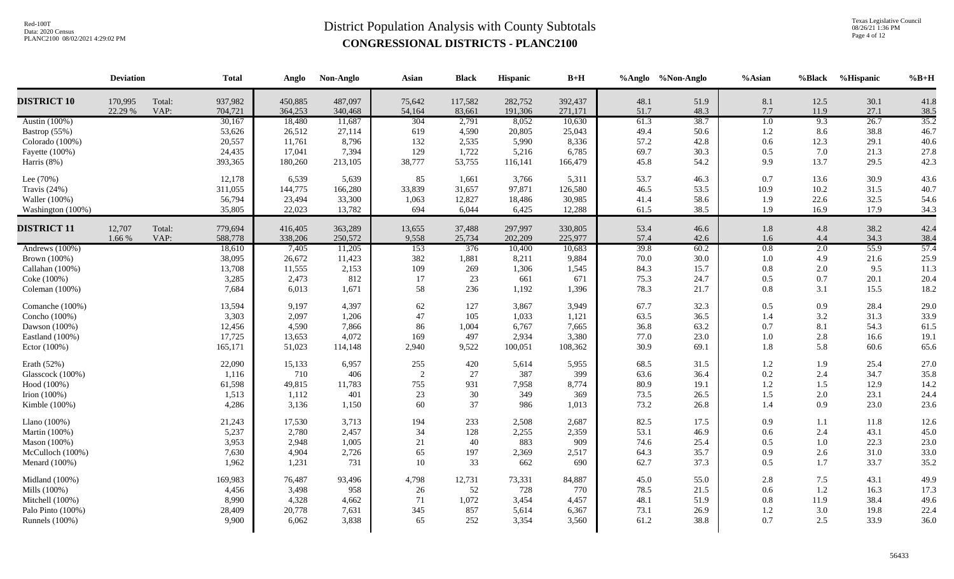Texas Legislative Council 08/26/21 1:36 PM Page 4 of 12

|                                                                                                 | <b>Deviation</b>   |                | <b>Total</b>                                    | Anglo                                           | Non-Anglo                                     | Asian                              | <b>Black</b>                               | Hispanic                                     | $B+H$                                         |                                      | %Anglo %Non-Anglo                    | $%$ Asian                           | %Black                            | %Hispanic                            | $%B+H$                               |
|-------------------------------------------------------------------------------------------------|--------------------|----------------|-------------------------------------------------|-------------------------------------------------|-----------------------------------------------|------------------------------------|--------------------------------------------|----------------------------------------------|-----------------------------------------------|--------------------------------------|--------------------------------------|-------------------------------------|-----------------------------------|--------------------------------------|--------------------------------------|
| <b>DISTRICT 10</b>                                                                              | 170,995<br>22.29 % | Total:<br>VAP: | 937,982<br>704,721                              | 450,885<br>364,253                              | 487,097<br>340,468                            | 75,642<br>54,164                   | 117,582<br>83,661                          | 282,752<br>191,306                           | 392,437<br>271,171                            | 48.1<br>51.7                         | 51.9<br>48.3                         | 8.1<br>7.7                          | 12.5<br>11.9                      | 30.1<br>27.1                         | 41.8<br>38.5                         |
| Austin (100%)<br>Bastrop (55%)<br>Colorado (100%)<br>Fayette (100%)<br>Harris (8%)              |                    |                | 30,167<br>53,626<br>20,557<br>24,435<br>393,365 | 18,480<br>26,512<br>11,761<br>17,041<br>180,260 | 11,687<br>27,114<br>8,796<br>7,394<br>213,105 | 304<br>619<br>132<br>129<br>38,777 | 2,791<br>4,590<br>2,535<br>1,722<br>53,755 | 8,052<br>20,805<br>5,990<br>5,216<br>116,141 | 10,630<br>25,043<br>8,336<br>6,785<br>166,479 | 61.3<br>49.4<br>57.2<br>69.7<br>45.8 | 38.7<br>50.6<br>42.8<br>30.3<br>54.2 | 1.0<br>1.2<br>0.6<br>0.5<br>9.9     | 9.3<br>8.6<br>12.3<br>7.0<br>13.7 | 26.7<br>38.8<br>29.1<br>21.3<br>29.5 | 35.2<br>46.7<br>40.6<br>27.8<br>42.3 |
| Lee (70%)<br>Travis (24%)<br>Waller (100%)<br>Washington (100%)                                 |                    |                | 12,178<br>311,055<br>56,794<br>35,805           | 6,539<br>144,775<br>23,494<br>22,023            | 5,639<br>166,280<br>33,300<br>13,782          | 85<br>33,839<br>1,063<br>694       | 1,661<br>31,657<br>12,827<br>6,044         | 3,766<br>97,871<br>18,486<br>6,425           | 5,311<br>126,580<br>30,985<br>12,288          | 53.7<br>46.5<br>41.4<br>61.5         | 46.3<br>53.5<br>58.6<br>38.5         | 0.7<br>10.9<br>1.9<br>1.9           | 13.6<br>10.2<br>22.6<br>16.9      | 30.9<br>31.5<br>32.5<br>17.9         | 43.6<br>40.7<br>54.6<br>34.3         |
| <b>DISTRICT 11</b>                                                                              | 12,707<br>1.66 %   | Total:<br>VAP: | 779,694<br>588,778                              | 416,405<br>338,206                              | 363,289<br>250,572                            | 13,655<br>9,558                    | 37,488<br>25,734                           | 297,997<br>202,209                           | 330,805<br>225,977                            | 53.4<br>57.4                         | 46.6<br>42.6                         | 1.8<br>1.6                          | 4.8<br>4.4                        | 38.2<br>34.3                         | 42.4<br>38.4                         |
| Andrews $(100\%)$<br>Brown (100%)<br>Callahan (100%)<br>Coke (100%)<br>Coleman (100%)           |                    |                | 18,610<br>38,095<br>13,708<br>3,285<br>7,684    | 7,405<br>26,672<br>11,555<br>2,473<br>6,013     | 11,205<br>11,423<br>2,153<br>812<br>1,671     | 153<br>382<br>109<br>17<br>58      | 376<br>1,881<br>269<br>23<br>236           | 10,400<br>8,211<br>1,306<br>661<br>1,192     | 10,683<br>9,884<br>1,545<br>671<br>1,396      | 39.8<br>70.0<br>84.3<br>75.3<br>78.3 | 60.2<br>30.0<br>15.7<br>24.7<br>21.7 | 0.8<br>1.0<br>0.8<br>0.5<br>0.8     | 2.0<br>4.9<br>2.0<br>0.7<br>3.1   | 55.9<br>21.6<br>9.5<br>20.1<br>15.5  | 57.4<br>25.9<br>11.3<br>20.4<br>18.2 |
| Comanche (100%)<br>Concho (100%)<br>Dawson (100%)<br>Eastland (100%)<br>Ector (100%)            |                    |                | 13,594<br>3,303<br>12,456<br>17,725<br>165,171  | 9,197<br>2,097<br>4,590<br>13,653<br>51,023     | 4,397<br>1,206<br>7,866<br>4,072<br>114,148   | 62<br>47<br>86<br>169<br>2,940     | 127<br>105<br>1,004<br>497<br>9,522        | 3,867<br>1,033<br>6,767<br>2,934<br>100,051  | 3,949<br>1,121<br>7,665<br>3,380<br>108,362   | 67.7<br>63.5<br>36.8<br>77.0<br>30.9 | 32.3<br>36.5<br>63.2<br>23.0<br>69.1 | 0.5<br>1.4<br>0.7<br>1.0<br>1.8     | 0.9<br>3.2<br>8.1<br>2.8<br>5.8   | 28.4<br>31.3<br>54.3<br>16.6<br>60.6 | 29.0<br>33.9<br>61.5<br>19.1<br>65.6 |
| Erath (52%)<br>Glasscock (100%)<br>Hood (100%)<br>Irion $(100\%)$<br>Kimble (100%)              |                    |                | 22,090<br>1,116<br>61,598<br>1,513<br>4,286     | 15,133<br>710<br>49,815<br>1,112<br>3,136       | 6,957<br>406<br>11,783<br>401<br>1,150        | 255<br>2<br>755<br>23<br>60        | 420<br>27<br>931<br>$30\,$<br>37           | 5,614<br>387<br>7,958<br>349<br>986          | 5,955<br>399<br>8,774<br>369<br>1,013         | 68.5<br>63.6<br>80.9<br>73.5<br>73.2 | 31.5<br>36.4<br>19.1<br>26.5<br>26.8 | 1.2<br>0.2<br>$1.2\,$<br>1.5<br>1.4 | 1.9<br>2.4<br>1.5<br>2.0<br>0.9   | 25.4<br>34.7<br>12.9<br>23.1<br>23.0 | 27.0<br>35.8<br>14.2<br>24.4<br>23.6 |
| Llano (100%)<br>Martin (100%)<br>Mason (100%)<br>McCulloch (100%)<br>Menard (100%)              |                    |                | 21,243<br>5,237<br>3,953<br>7,630<br>1,962      | 17,530<br>2,780<br>2,948<br>4,904<br>1,231      | 3,713<br>2,457<br>1,005<br>2,726<br>731       | 194<br>34<br>21<br>65<br>10        | 233<br>128<br>40<br>197<br>33              | 2,508<br>2,255<br>883<br>2,369<br>662        | 2,687<br>2,359<br>909<br>2,517<br>690         | 82.5<br>53.1<br>74.6<br>64.3<br>62.7 | 17.5<br>46.9<br>25.4<br>35.7<br>37.3 | 0.9<br>0.6<br>0.5<br>0.9<br>0.5     | 1.1<br>2.4<br>1.0<br>2.6<br>1.7   | 11.8<br>43.1<br>22.3<br>31.0<br>33.7 | 12.6<br>45.0<br>23.0<br>33.0<br>35.2 |
| Midland (100%)<br>Mills (100%)<br>Mitchell (100%)<br>Palo Pinto (100%)<br><b>Runnels</b> (100%) |                    |                | 169,983<br>4,456<br>8,990<br>28,409<br>9,900    | 76,487<br>3,498<br>4,328<br>20,778<br>6,062     | 93,496<br>958<br>4,662<br>7,631<br>3,838      | 4,798<br>26<br>71<br>345<br>65     | 12,731<br>52<br>1,072<br>857<br>252        | 73,331<br>728<br>3,454<br>5,614<br>3,354     | 84,887<br>770<br>4,457<br>6,367<br>3,560      | 45.0<br>78.5<br>48.1<br>73.1<br>61.2 | 55.0<br>21.5<br>51.9<br>26.9<br>38.8 | 2.8<br>0.6<br>0.8<br>1.2<br>0.7     | 7.5<br>1.2<br>11.9<br>3.0<br>2.5  | 43.1<br>16.3<br>38.4<br>19.8<br>33.9 | 49.9<br>17.3<br>49.6<br>22.4<br>36.0 |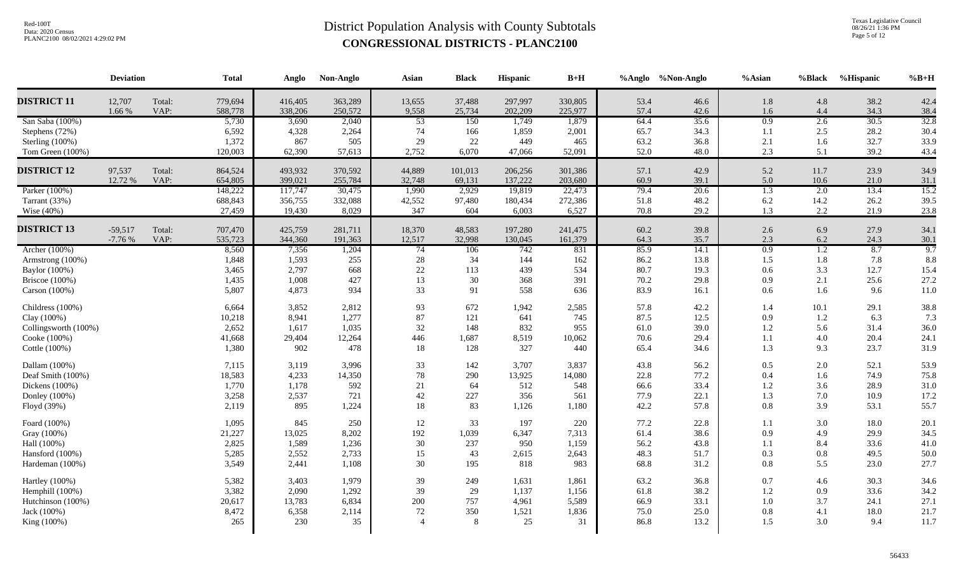Texas Legislative Council 08/26/21 1:36 PM Page 5 of 12

|                                   | <b>Deviation</b> |        | <b>Total</b>   | Anglo          | Non-Anglo      | Asian           | <b>Black</b> | Hispanic         | $B+H$          |              | %Anglo %Non-Anglo | %Asian           | %Black           | %Hispanic    | $%B+H$       |
|-----------------------------------|------------------|--------|----------------|----------------|----------------|-----------------|--------------|------------------|----------------|--------------|-------------------|------------------|------------------|--------------|--------------|
| <b>DISTRICT 11</b>                | 12,707           | Total: | 779,694        | 416,405        | 363,289        | 13,655          | 37,488       | 297,997          | 330,805        | 53.4         | 46.6              | 1.8              | 4.8              | 38.2         | 42.4         |
|                                   | 1.66 %           | VAP:   | 588,778        | 338,206        | 250,572        | 9,558           | 25,734       | 202,209<br>1,749 | 225,977        | 57.4         | 42.6<br>35.6      | 1.6<br>0.9       | 4.4<br>2.6       | 34.3<br>30.5 | 38.4<br>32.8 |
| San Saba (100%)<br>Stephens (72%) |                  |        | 5,730<br>6,592 | 3,690<br>4,328 | 2,040<br>2,264 | 53<br>74        | 150<br>166   | 1,859            | 1,879<br>2,001 | 64.4<br>65.7 | 34.3              | 1.1              | 2.5              | 28.2         | 30.4         |
| Sterling (100%)                   |                  |        | 1,372          | 867            | 505            | 29              | 22           | 449              | 465            | 63.2         | 36.8              | 2.1              | 1.6              | 32.7         | 33.9         |
| Tom Green (100%)                  |                  |        | 120,003        | 62,390         | 57,613         | 2,752           | 6.070        | 47,066           | 52,091         | 52.0         | 48.0              | 2.3              | 5.1              | 39.2         | 43.4         |
|                                   |                  |        |                |                |                |                 |              |                  |                |              |                   |                  |                  |              |              |
| <b>DISTRICT 12</b>                | 97,537           | Total: | 864,524        | 493,932        | 370,592        | 44,889          | 101,013      | 206,256          | 301,386        | 57.1         | 42.9              | 5.2              | 11.7             | 23.9         | 34.9         |
|                                   | 12.72 %          | VAP:   | 654,805        | 399,021        | 255,784        | 32,748          | 69,131       | 137,222          | 203,680        | 60.9         | 39.1              | 5.0              | 10.6             | 21.0         | 31.1         |
| Parker (100%)                     |                  |        | 148,222        | 117,747        | 30,475         | 1,990           | 2,929        | 19,819           | 22,473         | 79.4         | 20.6              | $\overline{1.3}$ | 2.0              | 13.4         | 15.2         |
| Tarrant (33%)                     |                  |        | 688,843        | 356,755        | 332,088        | 42,552          | 97,480       | 180,434          | 272,386        | 51.8         | 48.2              | 6.2              | 14.2             | 26.2         | 39.5         |
| Wise $(40\%)$                     |                  |        | 27,459         | 19,430         | 8,029          | 347             | 604          | 6,003            | 6,527          | 70.8         | 29.2              | 1.3              | 2.2              | 21.9         | 23.8         |
| <b>DISTRICT 13</b>                | $-59,517$        | Total: | 707,470        | 425,759        | 281,711        | 18,370          | 48,583       | 197,280          | 241,475        | 60.2         | 39.8              | 2.6              | 6.9              | 27.9         | 34.1         |
|                                   | $-7.76%$         | VAP:   | 535,723        | 344,360        | 191,363        | 12,517          | 32,998       | 130,045          | 161,379        | 64.3         | 35.7              | 2.3              | 6.2              | 24.3         | 30.1         |
| Archer (100%)                     |                  |        | 8,560          | 7,356          | 1,204          | $\overline{74}$ | 106          | 742              | 831            | 85.9         | 14.1              | 0.9              | $\overline{1.2}$ | 8.7          | 9.7          |
| Armstrong (100%)                  |                  |        | 1,848          | 1,593          | 255            | $28\,$          | 34           | 144              | 162            | 86.2         | 13.8              | 1.5              | 1.8              | 7.8          | 8.8          |
| Baylor (100%)                     |                  |        | 3,465          | 2,797          | 668            | $22\,$          | 113          | 439              | 534            | 80.7         | 19.3              | 0.6              | 3.3              | 12.7         | 15.4         |
| Briscoe $(100\%)$                 |                  |        | 1,435          | 1,008          | 427            | 13              | 30           | 368              | 391            | 70.2         | 29.8              | 0.9              | 2.1              | 25.6         | 27.2         |
| Carson (100%)                     |                  |        | 5,807          | 4,873          | 934            | 33              | 91           | 558              | 636            | 83.9         | 16.1              | 0.6              | 1.6              | 9.6          | 11.0         |
| Childress (100%)                  |                  |        | 6,664          | 3,852          | 2,812          | 93              | 672          | 1,942            | 2,585          | 57.8         | 42.2              | 1.4              | 10.1             | 29.1         | 38.8         |
| Clay (100%)                       |                  |        | 10,218         | 8,941          | 1,277          | 87              | 121          | 641              | 745            | 87.5         | 12.5              | 0.9              | 1.2              | 6.3          | 7.3          |
| Collingsworth (100%)              |                  |        | 2,652          | 1,617          | 1,035          | 32              | 148          | 832              | 955            | 61.0         | 39.0              | 1.2              | 5.6              | 31.4         | 36.0         |
| Cooke (100%)                      |                  |        | 41,668         | 29,404         | 12,264         | 446             | 1,687        | 8,519            | 10,062         | 70.6         | 29.4              | 1.1              | 4.0              | 20.4         | 24.1         |
| Cottle (100%)                     |                  |        | 1,380          | 902            | 478            | 18              | 128          | 327              | 440            | 65.4         | 34.6              | 1.3              | 9.3              | 23.7         | 31.9         |
| Dallam (100%)                     |                  |        | 7,115          | 3,119          | 3,996          | 33              | 142          | 3,707            | 3,837          | 43.8         | 56.2              | 0.5              | 2.0              | 52.1         | 53.9         |
| Deaf Smith (100%)                 |                  |        | 18,583         | 4,233          | 14,350         | 78              | 290          | 13,925           | 14,080         | 22.8         | 77.2              | 0.4              | 1.6              | 74.9         | 75.8         |
| Dickens (100%)                    |                  |        | 1,770          | 1,178          | 592            | 21              | 64           | 512              | 548            | 66.6         | 33.4              | 1.2              | 3.6              | 28.9         | 31.0         |
| Donley (100%)                     |                  |        | 3,258          | 2,537          | 721            | 42              | 227          | 356              | 561            | 77.9         | 22.1              | 1.3              | 7.0              | 10.9         | 17.2         |
| Floyd (39%)                       |                  |        | 2,119          | 895            | 1,224          | 18              | 83           | 1,126            | 1,180          | 42.2         | 57.8              | 0.8              | 3.9              | 53.1         | 55.7         |
| Foard (100%)                      |                  |        | 1,095          | 845            | 250            | 12              | 33           | 197              | 220            | 77.2         | 22.8              | 1.1              | 3.0              | 18.0         | 20.1         |
| Gray (100%)                       |                  |        | 21,227         | 13,025         | 8,202          | 192             | 1,039        | 6,347            | 7,313          | 61.4         | 38.6              | 0.9              | 4.9              | 29.9         | 34.5         |
| Hall (100%)                       |                  |        | 2,825          | 1,589          | 1,236          | 30              | 237          | 950              | 1,159          | 56.2         | 43.8              | 1.1              | 8.4              | 33.6         | 41.0         |
| Hansford (100%)                   |                  |        | 5,285          | 2,552          | 2,733          | 15              | 43           | 2,615            | 2,643          | 48.3         | 51.7              | 0.3              | 0.8              | 49.5         | 50.0         |
| Hardeman (100%)                   |                  |        | 3,549          | 2,441          | 1,108          | 30              | 195          | 818              | 983            | 68.8         | 31.2              | 0.8              | 5.5              | 23.0         | 27.7         |
| Hartley (100%)                    |                  |        | 5,382          | 3,403          | 1,979          | 39              | 249          | 1,631            | 1,861          | 63.2         | 36.8              | 0.7              | 4.6              | 30.3         | 34.6         |
| Hemphill (100%)                   |                  |        | 3,382          | 2,090          | 1,292          | 39              | 29           | 1,137            | 1,156          | 61.8         | 38.2              | 1.2              | 0.9              | 33.6         | 34.2         |
| Hutchinson (100%)                 |                  |        | 20,617         | 13,783         | 6,834          | 200             | 757          | 4,961            | 5,589          | 66.9         | 33.1              | 1.0              | 3.7              | 24.1         | 27.1         |
| Jack (100%)                       |                  |        | 8,472          | 6,358          | 2,114          | 72              | 350          | 1,521            | 1,836          | 75.0         | 25.0              | 0.8              | 4.1              | 18.0         | 21.7         |
| King (100%)                       |                  |        | 265            | 230            | 35             |                 | 8            | 25               | 31             | 86.8         | 13.2              | 1.5              | 3.0              | 9.4          | 11.7         |
|                                   |                  |        |                |                |                |                 |              |                  |                |              |                   |                  |                  |              |              |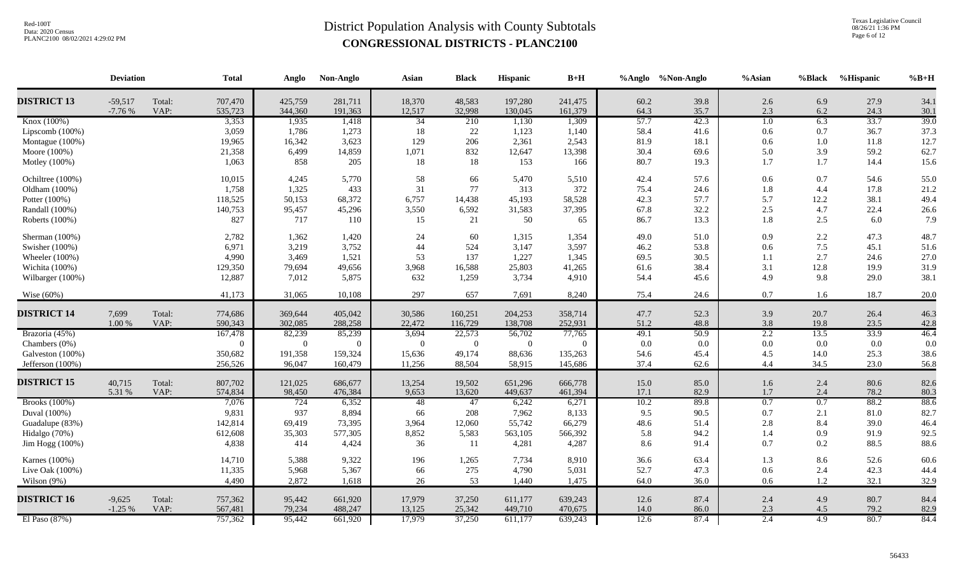Texas Legislative Council 08/26/21 1:36 PM Page 6 of 12

|                    | <b>Deviation</b>      |                | <b>Total</b>       | Anglo              | Non-Anglo          | Asian            | <b>Black</b>     | Hispanic           | $B+H$              |              | %Anglo %Non-Anglo | %Asian           | %Black     | %Hispanic    | $%B+H$       |
|--------------------|-----------------------|----------------|--------------------|--------------------|--------------------|------------------|------------------|--------------------|--------------------|--------------|-------------------|------------------|------------|--------------|--------------|
| <b>DISTRICT 13</b> | $-59,517$<br>$-7.76%$ | Total:<br>VAP: | 707,470<br>535,723 | 425,759<br>344,360 | 281,711<br>191,363 | 18,370<br>12,517 | 48,583<br>32,998 | 197,280<br>130,045 | 241,475<br>161,379 | 60.2<br>64.3 | 39.8<br>35.7      | 2.6<br>2.3       | 6.9<br>6.2 | 27.9<br>24.3 | 34.1<br>30.1 |
| Knox (100%)        |                       |                | 3,353              | 1,935              | 1,418              | $\overline{34}$  | 210              | 1,130              | 1,309              | 57.7         | 42.3              | 1.0              | 6.3        | 33.7         | 39.0         |
| Lipscomb (100%)    |                       |                | 3,059              | 1,786              | 1,273              | 18               | 22               | 1,123              | 1,140              | 58.4         | 41.6              | 0.6              | 0.7        | 36.7         | 37.3         |
| Montague (100%)    |                       |                | 19,965             | 16,342             | 3,623              | 129              | 206              | 2,361              | 2,543              | 81.9         | 18.1              | 0.6              | $1.0\,$    | 11.8         | 12.7         |
| Moore (100%)       |                       |                | 21,358             | 6,499              | 14,859             | 1,071            | 832              | 12,647             | 13,398             | 30.4         | 69.6              | 5.0              | 3.9        | 59.2         | 62.7         |
| Motley (100%)      |                       |                | 1,063              | 858                | 205                | 18               | 18               | 153                | 166                | 80.7         | 19.3              | 1.7              | 1.7        | 14.4         | 15.6         |
| Ochiltree (100%)   |                       |                | 10,015             | 4,245              | 5,770              | 58               | 66               | 5,470              | 5,510              | 42.4         | 57.6              | 0.6              | 0.7        | 54.6         | 55.0         |
| Oldham (100%)      |                       |                | 1,758              | 1,325              | 433                | 31               | 77               | 313                | 372                | 75.4         | 24.6              | 1.8              | 4.4        | 17.8         | 21.2         |
| Potter (100%)      |                       |                | 118,525            | 50,153             | 68,372             | 6,757            | 14,438           | 45,193             | 58,528             | 42.3         | 57.7              | 5.7              | 12.2       | 38.1         | 49.4         |
| Randall (100%)     |                       |                | 140,753            | 95,457             | 45,296             | 3,550            | 6,592            | 31,583             | 37,395             | 67.8         | 32.2              | 2.5              | 4.7        | 22.4         | 26.6         |
| Roberts (100%)     |                       |                | 827                | 717                | 110                | 15               | 21               | 50                 | 65                 | 86.7         | 13.3              | 1.8              | 2.5        | 6.0          | 7.9          |
| Sherman (100%)     |                       |                | 2,782              | 1,362              | 1,420              | 24               | 60               | 1,315              | 1,354              | 49.0         | 51.0              | 0.9              | 2.2        | 47.3         | 48.7         |
| Swisher (100%)     |                       |                | 6,971              | 3,219              | 3,752              | 44               | 524              | 3,147              | 3,597              | 46.2         | 53.8              | 0.6              | 7.5        | 45.1         | 51.6         |
| Wheeler (100%)     |                       |                | 4,990              | 3,469              | 1,521              | 53               | 137              | 1,227              | 1,345              | 69.5         | 30.5              | 1.1              | 2.7        | 24.6         | 27.0         |
| Wichita (100%)     |                       |                | 129,350            | 79,694             | 49,656             | 3,968            | 16,588           | 25,803             | 41,265             | 61.6         | 38.4              | 3.1              | 12.8       | 19.9         | 31.9         |
| Wilbarger (100%)   |                       |                | 12,887             | 7,012              | 5,875              | 632              | 1,259            | 3,734              | 4,910              | 54.4         | 45.6              | 4.9              | 9.8        | 29.0         | 38.1         |
| Wise $(60\%)$      |                       |                | 41,173             | 31,065             | 10,108             | 297              | 657              | 7,691              | 8,240              | 75.4         | 24.6              | 0.7              | 1.6        | 18.7         | 20.0         |
| <b>DISTRICT 14</b> | 7,699                 | Total:         | 774,686            | 369,644            | 405,042            | 30,586           | 160,251          | 204,253            | 358,714            | 47.7         | 52.3              | 3.9              | 20.7       | 26.4         | 46.3         |
|                    | $1.00\ \%$            | VAP:           | 590,343            | 302,085            | 288,258            | 22,472           | 116,729          | 138,708            | 252,931            | 51.2         | 48.8              | 3.8              | 19.8       | 23.5         | 42.8         |
| Brazoria (45%)     |                       |                | 167,478            | 82,239             | 85,239             | 3,694            | 22,573           | 56,702             | 77,765             | 49.1         | 50.9              | 2.2              | 13.5       | 33.9         | 46.4         |
| Chambers (0%)      |                       |                | $\overline{0}$     | $\overline{0}$     | $\overline{0}$     | $\Omega$         | $\overline{0}$   | $\overline{0}$     | $\Omega$           | 0.0          | 0.0               | 0.0              | 0.0        | 0.0          | 0.0          |
| Galveston (100%)   |                       |                | 350,682            | 191,358            | 159,324            | 15,636           | 49,174           | 88,636             | 135,263            | 54.6         | 45.4              | 4.5              | 14.0       | 25.3         | 38.6         |
| Jefferson (100%)   |                       |                | 256,526            | 96,047             | 160,479            | 11,256           | 88,504           | 58,915             | 145,686            | 37.4         | 62.6              | 4.4              | 34.5       | 23.0         | 56.8         |
| <b>DISTRICT 15</b> | 40,715                | Total:         | 807,702            | 121,025            | 686,677            | 13,254           | 19,502           | 651,296            | 666,778            | 15.0         | 85.0              | 1.6              | 2.4        | 80.6         | 82.6         |
|                    | 5.31 %                | VAP:           | 574,834            | 98,450             | 476,384            | 9,653            | 13,620           | 449,637            | 461,394            | 17.1         | 82.9              | 1.7              | 2.4        | 78.2         | 80.3         |
| Brooks (100%)      |                       |                | 7,076              | 724                | 6,352              | 48               | 47               | 6,242              | 6,271              | 10.2         | 89.8              | $\overline{0.7}$ | 0.7        | 88.2         | 88.6         |
| Duval (100%)       |                       |                | 9,831              | 937                | 8,894              | 66               | 208              | 7,962              | 8,133              | 9.5          | 90.5              | 0.7              | 2.1        | 81.0         | 82.7         |
| Guadalupe (83%)    |                       |                | 142,814            | 69,419             | 73,395             | 3,964            | 12,060           | 55,742             | 66,279             | 48.6         | 51.4              | 2.8              | 8.4        | 39.0         | 46.4         |
| Hidalgo (70%)      |                       |                | 612,608            | 35,303             | 577,305            | 8,852            | 5,583            | 563,105            | 566,392            | 5.8          | 94.2              | 1.4              | 0.9        | 91.9         | 92.5         |
| Jim Hogg (100%)    |                       |                | 4,838              | 414                | 4,424              | 36               | 11               | 4,281              | 4,287              | 8.6          | 91.4              | 0.7              | 0.2        | 88.5         | 88.6         |
| Karnes (100%)      |                       |                | 14,710             | 5,388              | 9,322              | 196              | 1,265            | 7,734              | 8,910              | 36.6         | 63.4              | 1.3              | 8.6        | 52.6         | 60.6         |
| Live Oak (100%)    |                       |                | 11,335             | 5,968              | 5,367              | 66               | 275              | 4,790              | 5,031              | 52.7         | 47.3              | 0.6              | 2.4        | 42.3         | 44.4         |
| Wilson (9%)        |                       |                | 4,490              | 2,872              | 1,618              | 26               | 53               | 1,440              | 1,475              | 64.0         | 36.0              | 0.6              | 1.2        | 32.1         | 32.9         |
| <b>DISTRICT 16</b> | $-9,625$              | Total:         | 757,362            | 95,442             | 661,920            | 17,979           | 37,250           | 611,177            | 639,243            | 12.6         | 87.4              | 2.4              | 4.9        | 80.7         | 84.4         |
|                    | $-1.25%$              | VAP:           | 567,481            | 79,234             | 488,247            | 13,125           | 25,342           | 449,710            | 470,675            | 14.0         | 86.0              | 2.3              | 4.5        | 79.2         | 82.9         |
| El Paso (87%)      |                       |                | 757,362            | 95,442             | 661,920            | 17,979           | 37,250           | 611,177            | 639,243            | 12.6         | 87.4              | 2.4              | 4.9        | 80.7         | 84.4         |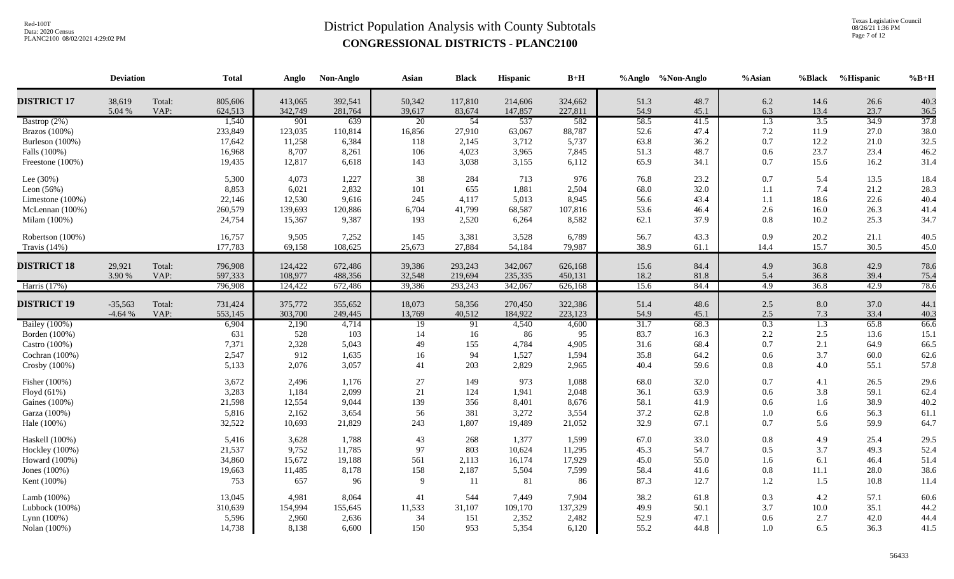Texas Legislative Council 08/26/21 1:36 PM Page 7 of 12

|                     | <b>Deviation</b> |                | <b>Total</b>       | Anglo              | Non-Anglo          | Asian            | <b>Black</b>      | Hispanic           | $B+H$              |              | %Anglo %Non-Anglo | %Asian           | %Black           | %Hispanic    | $%B+H$       |
|---------------------|------------------|----------------|--------------------|--------------------|--------------------|------------------|-------------------|--------------------|--------------------|--------------|-------------------|------------------|------------------|--------------|--------------|
| <b>DISTRICT 17</b>  | 38,619<br>5.04 % | Total:<br>VAP: | 805,606<br>624,513 | 413,065<br>342,749 | 392,541<br>281,764 | 50,342<br>39,617 | 117,810<br>83,674 | 214,606<br>147,857 | 324,662<br>227,811 | 51.3<br>54.9 | 48.7<br>45.1      | 6.2<br>6.3       | 14.6<br>13.4     | 26.6<br>23.7 | 40.3<br>36.5 |
| Bastrop (2%)        |                  |                | 1,540              | 901                | 639                | 20               | 54                | 537                | 582                | 58.5         | 41.5              | $\overline{1.3}$ | $\overline{3.5}$ | 34.9         | 37.8         |
| Brazos $(100\%)$    |                  |                | 233,849            | 123,035            | 110,814            | 16,856           | 27,910            | 63,067             | 88,787             | 52.6         | 47.4              | 7.2              | 11.9             | 27.0         | 38.0         |
| Burleson (100%)     |                  |                | 17,642             | 11,258             | 6,384              | 118              | 2,145             | 3,712              | 5,737              | 63.8         | 36.2              | 0.7              | 12.2             | 21.0         | 32.5         |
| Falls (100%)        |                  |                | 16,968             | 8,707              | 8,261              | 106              | 4,023             | 3,965              | 7,845              | 51.3         | 48.7              | 0.6              | 23.7             | 23.4         | 46.2         |
| Freestone (100%)    |                  |                | 19,435             | 12,817             | 6,618              | 143              | 3,038             | 3,155              | 6,112              | 65.9         | 34.1              | 0.7              | 15.6             | 16.2         | 31.4         |
| Lee $(30%)$         |                  |                | 5,300              | 4,073              | 1,227              | 38               | 284               | 713                | 976                | 76.8         | 23.2              | 0.7              | 5.4              | 13.5         | 18.4         |
| Leon $(56%)$        |                  |                | 8,853              | 6,021              | 2,832              | 101              | 655               | 1,881              | 2,504              | 68.0         | 32.0              | 1.1              | 7.4              | 21.2         | 28.3         |
| Limestone $(100\%)$ |                  |                | 22,146             | 12,530             | 9,616              | 245              | 4,117             | 5,013              | 8,945              | 56.6         | 43.4              | 1.1              | 18.6             | 22.6         | 40.4         |
| McLennan (100%)     |                  |                | 260,579            | 139,693            | 120,886            | 6,704            | 41,799            | 68,587             | 107,816            | 53.6         | 46.4              | 2.6              | 16.0             | 26.3         | 41.4         |
| Milam (100%)        |                  |                | 24,754             | 15,367             | 9,387              | 193              | 2,520             | 6,264              | 8,582              | 62.1         | 37.9              | 0.8              | 10.2             | 25.3         | 34.7         |
| Robertson (100%)    |                  |                | 16,757             | 9,505              | 7,252              | 145              | 3,381             | 3,528              | 6,789              | 56.7         | 43.3              | 0.9              | 20.2             | 21.1         | 40.5         |
| Travis $(14\%)$     |                  |                | 177,783            | 69,158             | 108,625            | 25,673           | 27,884            | 54,184             | 79,987             | 38.9         | 61.1              | 14.4             | 15.7             | 30.5         | 45.0         |
| <b>DISTRICT 18</b>  | 29,921           | Total:         | 796,908            | 124,422            | 672,486            | 39,386           | 293,243           | 342,067            | 626,168            | 15.6         | 84.4              | 4.9              | 36.8             | 42.9         | 78.6         |
|                     | 3.90 %           | VAP:           | 597,333            | 108,977            | 488,356            | 32,548           | 219,694           | 235,335            | 450,131            | 18.2         | 81.8              | 5.4              | 36.8             | 39.4         | 75.4         |
| Harris (17%)        |                  |                | 796,908            | 124,422            | 672,486            | 39,386           | 293,243           | 342,067            | 626,168            | 15.6         | 84.4              | 4.9              | 36.8             | 42.9         | 78.6         |
| <b>DISTRICT 19</b>  | $-35,563$        | Total:         | 731,424            | 375,772            | 355,652            | 18,073           | 58,356            | 270,450            | 322,386            | 51.4         | 48.6              | 2.5              | $8.0\,$          | 37.0         | 44.1         |
|                     | $-4.64%$         | VAP:           | 553,145            | 303,700            | 249,445            | 13,769           | 40,512            | 184,922            | 223,123            | 54.9         | 45.1              | 2.5              | $7.3$            | 33.4         | 40.3         |
| Bailey (100%)       |                  |                | 6,904              | 2,190              | 4,714              | 19               | 91                | 4,540              | 4,600              | 31.7         | 68.3              | 0.3              | $\overline{1.3}$ | 65.8         | 66.6         |
| Borden (100%)       |                  |                | 631                | 528                | 103                | 14               | 16                | 86                 | 95                 | 83.7         | 16.3              | 2.2              | 2.5              | 13.6         | 15.1         |
| Castro (100%)       |                  |                | 7,371              | 2,328              | 5,043              | 49               | 155               | 4,784              | 4,905              | 31.6         | 68.4              | 0.7              | 2.1              | 64.9         | 66.5         |
| Cochran (100%)      |                  |                | 2,547              | 912                | 1,635              | 16               | 94                | 1,527              | 1,594              | 35.8         | 64.2              | 0.6              | 3.7              | 60.0         | 62.6         |
| Crosby (100%)       |                  |                | 5,133              | 2,076              | 3,057              | 41               | 203               | 2,829              | 2,965              | 40.4         | 59.6              | 0.8              | 4.0              | 55.1         | 57.8         |
| Fisher (100%)       |                  |                | 3,672              | 2,496              | 1,176              | $27\,$           | 149               | 973                | 1,088              | 68.0         | 32.0              | 0.7              | 4.1              | 26.5         | 29.6         |
| Floyd (61%)         |                  |                | 3,283              | 1,184              | 2,099              | $21\,$           | 124               | 1,941              | 2,048              | 36.1         | 63.9              | 0.6              | 3.8              | 59.1         | 62.4         |
| Gaines (100%)       |                  |                | 21,598             | 12,554             | 9,044              | 139              | 356               | 8,401              | 8,676              | 58.1         | 41.9              | 0.6              | 1.6              | 38.9         | 40.2         |
| Garza (100%)        |                  |                | 5,816              | 2,162              | 3,654              | 56               | 381               | 3,272              | 3,554              | 37.2         | 62.8              | 1.0              | 6.6              | 56.3         | 61.1         |
| Hale (100%)         |                  |                | 32,522             | 10,693             | 21,829             | 243              | 1,807             | 19,489             | 21,052             | 32.9         | 67.1              | 0.7              | 5.6              | 59.9         | 64.7         |
| Haskell (100%)      |                  |                | 5,416              | 3,628              | 1,788              | 43               | 268               | 1,377              | 1,599              | 67.0         | 33.0              | 0.8              | 4.9              | 25.4         | 29.5         |
| Hockley (100%)      |                  |                | 21,537             | 9,752              | 11,785             | 97               | 803               | 10,624             | 11,295             | 45.3         | 54.7              | 0.5              | 3.7              | 49.3         | 52.4         |
| Howard (100%)       |                  |                | 34,860             | 15,672             | 19,188             | 561              | 2,113             | 16,174             | 17,929             | 45.0         | 55.0              | 1.6              | 6.1              | 46.4         | 51.4         |
| Jones (100%)        |                  |                | 19,663             | 11,485             | 8,178              | 158              | 2,187             | 5,504              | 7,599              | 58.4         | 41.6              | 0.8              | 11.1             | 28.0         | 38.6         |
| Kent (100%)         |                  |                | 753                | 657                | 96                 | $\mathbf Q$      | 11                | 81                 | 86                 | 87.3         | 12.7              | 1.2              | 1.5              | 10.8         | 11.4         |
| Lamb (100%)         |                  |                | 13,045             | 4,981              | 8,064              | 41               | 544               | 7,449              | 7,904              | 38.2         | 61.8              | 0.3              | 4.2              | 57.1         | 60.6         |
| Lubbock (100%)      |                  |                | 310,639            | 154,994            | 155,645            | 11,533           | 31,107            | 109,170            | 137,329            | 49.9         | 50.1              | 3.7              | 10.0             | 35.1         | 44.2         |
| Lynn (100%)         |                  |                | 5,596              | 2,960              | 2,636              | 34               | 151               | 2,352              | 2,482              | 52.9         | 47.1              | 0.6              | 2.7              | 42.0         | 44.4         |
| Nolan (100%)        |                  |                | 14,738             | 8,138              | 6,600              | 150              | 953               | 5,354              | 6,120              | 55.2         | 44.8              | 1.0              | 6.5              | 36.3         | 41.5         |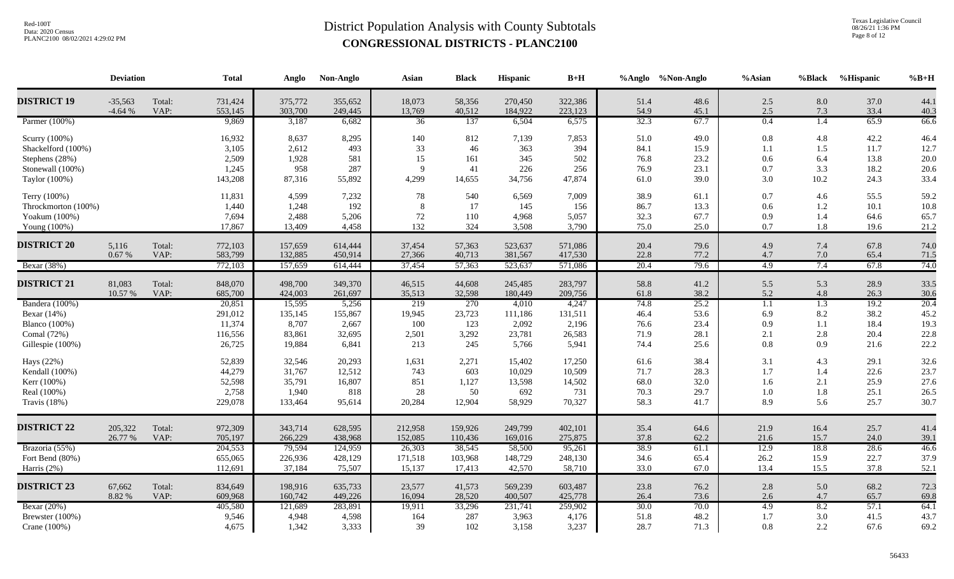Texas Legislative Council 08/26/21 1:36 PM Page 8 of 12

|                      | <b>Deviation</b>      |                | <b>Total</b>       | Anglo              | Non-Anglo          | Asian              | <b>Black</b>      | Hispanic           | $B+H$              |              | %Anglo %Non-Anglo | %Asian           | %Black           | %Hispanic    | $%B+H$       |
|----------------------|-----------------------|----------------|--------------------|--------------------|--------------------|--------------------|-------------------|--------------------|--------------------|--------------|-------------------|------------------|------------------|--------------|--------------|
| <b>DISTRICT 19</b>   | $-35,563$<br>$-4.64%$ | Total:<br>VAP: | 731,424<br>553,145 | 375,772<br>303,700 | 355,652<br>249,445 | 18,073<br>13,769   | 58,356<br>40,512  | 270,450<br>184,922 | 322,386<br>223,123 | 51.4<br>54.9 | 48.6<br>45.1      | 2.5<br>2.5       | 8.0<br>7.3       | 37.0<br>33.4 | 44.1<br>40.3 |
| Parmer (100%)        |                       |                | 9,869              | 3,187              | 6,682              | 36                 | 137               | 6,504              | 6,575              | 32.3         | 67.7              | $\overline{0.4}$ | $\overline{1.4}$ | 65.9         | 66.6         |
| Scurry (100%)        |                       |                | 16,932             | 8,637              | 8,295              | 140                | 812               | 7,139              | 7,853              | 51.0         | 49.0              | 0.8              | 4.8              | 42.2         | 46.4         |
| Shackelford (100%)   |                       |                | 3,105              | 2,612              | 493                | 33                 | 46                | 363                | 394                | 84.1         | 15.9              | 1.1              | 1.5              | 11.7         | 12.7         |
| Stephens (28%)       |                       |                | 2,509              | 1,928              | 581                | 15                 | 161               | 345                | 502                | 76.8         | 23.2              | 0.6              | 6.4              | 13.8         | 20.0         |
| Stonewall (100%)     |                       |                | 1,245              | 958                | 287                | $\mathbf{Q}$       | 41                | 226                | 256                | 76.9         | 23.1              | 0.7              | 3.3              | 18.2         | 20.6         |
| Taylor (100%)        |                       |                | 143,208            | 87,316             | 55,892             | 4,299              | 14,655            | 34,756             | 47,874             | 61.0         | 39.0              | 3.0              | 10.2             | 24.3         | 33.4         |
| Terry (100%)         |                       |                | 11,831             | 4,599              | 7,232              | 78                 | 540               | 6,569              | 7,009              | 38.9         | 61.1              | 0.7              | 4.6              | 55.5         | 59.2         |
| Throckmorton (100%)  |                       |                | 1,440              | 1,248              | 192                | 8                  | 17                | 145                | 156                | 86.7         | 13.3              | 0.6              | 1.2              | 10.1         | 10.8         |
| Yoakum (100%)        |                       |                | 7,694              | 2,488              | 5,206              | 72                 | 110               | 4,968              | 5,057              | 32.3         | 67.7              | 0.9              | 1.4              | 64.6         | 65.7         |
| Young (100%)         |                       |                | 17,867             | 13,409             | 4,458              | 132                | 324               | 3,508              | 3,790              | 75.0         | 25.0              | 0.7              | 1.8              | 19.6         | 21.2         |
| <b>DISTRICT 20</b>   | 5,116                 | Total:         | 772,103            | 157,659            | 614,444            | 37,454             | 57,363            | 523,637            | 571,086            | 20.4         | 79.6              | 4.9              | 7.4              | 67.8         | 74.0         |
|                      | $0.67~\%$             | VAP:           | 583,799            | 132,885            | 450,914            | 27,366             | 40,713            | 381,567            | 417,530            | 22.8         | 77.2              | 4.7              | $7.0\,$          | 65.4         | 71.5         |
| Bexar (38%)          |                       |                | 772,103            | 157,659            | 614,444            | 37,454             | 57,363            | 523,637            | 571,086            | 20.4         | 79.6              | 4.9              | 7.4              | 67.8         | 74.0         |
| <b>DISTRICT 21</b>   | 81,083                | Total:         | 848,070            | 498,700            | 349,370            | 46,515             | 44,608            | 245,485            | 283,797            | 58.8         | 41.2              | 5.5              | 5.3              | 28.9         | 33.5         |
|                      | 10.57 %               | VAP:           | 685,700            | 424,003            | 261,697            | 35,513             | 32,598            | 180,449            | 209,756            | 61.8         | 38.2              | 5.2              | 4.8              | 26.3         | 30.6         |
| Bandera (100%)       |                       |                | 20,851             | 15,595             | 5,256              | 219                | 270               | 4,010              | 4,247              | 74.8         | 25.2              | 1.1              | $\overline{1.3}$ | 19.2         | 20.4         |
| Bexar (14%)          |                       |                | 291,012            | 135,145            | 155,867            | 19,945             | 23,723            | 111,186            | 131,511            | 46.4         | 53.6              | 6.9              | $8.2\,$          | 38.2         | 45.2         |
| <b>Blanco</b> (100%) |                       |                | 11,374             | 8,707              | 2,667              | 100                | 123               | 2,092              | 2,196              | 76.6         | 23.4              | 0.9              | 1.1              | 18.4         | 19.3         |
| Comal (72%)          |                       |                | 116,556            | 83,861             | 32,695             | 2,501              | 3,292             | 23,781             | 26,583             | 71.9         | 28.1              | 2.1              | 2.8              | 20.4         | 22.8         |
| Gillespie (100%)     |                       |                | 26,725             | 19,884             | 6,841              | 213                | 245               | 5,766              | 5,941              | 74.4         | 25.6              | 0.8              | 0.9              | 21.6         | 22.2         |
| Hays (22%)           |                       |                | 52,839             | 32,546             | 20,293             | 1,631              | 2,271             | 15,402             | 17,250             | 61.6         | 38.4              | 3.1              | 4.3              | 29.1         | 32.6         |
| Kendall (100%)       |                       |                | 44,279             | 31,767             | 12,512             | 743                | 603               | 10,029             | 10,509             | 71.7         | 28.3              | 1.7              | 1.4              | 22.6         | 23.7         |
| Kerr (100%)          |                       |                | 52,598             | 35,791             | 16,807             | 851                | 1,127             | 13,598             | 14,502             | 68.0         | 32.0              | 1.6              | 2.1              | 25.9         | 27.6         |
| Real (100%)          |                       |                | 2,758              | 1,940              | 818                | $28\,$             | 50                | 692                | 731                | 70.3         | 29.7              | 1.0              | 1.8              | 25.1         | 26.5         |
| Travis $(18%)$       |                       |                | 229,078            | 133,464            | 95,614             | 20,284             | 12,904            | 58,929             | 70,327             | 58.3         | 41.7              | 8.9              | 5.6              | 25.7         | 30.7         |
|                      |                       |                |                    |                    |                    |                    |                   |                    |                    |              |                   |                  |                  |              |              |
| <b>DISTRICT 22</b>   | 205,322<br>26.77 %    | Total:<br>VAP: | 972,309            | 343,714<br>266,229 | 628,595            | 212,958<br>152,085 | 159,926           | 249,799            | 402,101<br>275,875 | 35.4<br>37.8 | 64.6<br>62.2      | 21.9             | 16.4<br>15.7     | 25.7<br>24.0 | 41.4         |
| Brazoria (55%)       |                       |                | 705,197<br>204,553 | 79,594             | 438,968<br>124,959 | 26,303             | 110,436<br>38,545 | 169,016<br>58,500  | 95,261             | 38.9         | 61.1              | 21.6<br>12.9     | 18.8             | 28.6         | 39.1<br>46.6 |
| Fort Bend (80%)      |                       |                | 655,065            | 226,936            | 428,129            | 171,518            | 103,968           | 148,729            | 248,130            | 34.6         | 65.4              | 26.2             | 15.9             | 22.7         | 37.9         |
|                      |                       |                | 112,691            | 37,184             | 75,507             | 15,137             | 17,413            | 42,570             | 58,710             | 33.0         | 67.0              | 13.4             | 15.5             | 37.8         |              |
| Harris (2%)          |                       |                |                    |                    |                    |                    |                   |                    |                    |              |                   |                  |                  |              | 52.1         |
| <b>DISTRICT 23</b>   | 67,662                | Total:         | 834,649            | 198,916            | 635,733            | 23,577             | 41,573            | 569,239            | 603,487            | 23.8         | 76.2              | 2.8              | 5.0              | 68.2         | 72.3         |
|                      | 8.82 %                | VAP:           | 609,968            | 160,742            | 449,226            | 16,094             | 28,520            | 400,507            | 425,778            | 26.4         | 73.6              | 2.6              | 4.7              | 65.7         | 69.8         |
| Bexar (20%)          |                       |                | 405,580            | 121,689            | 283,891            | 19,911             | 33,296            | 231,741            | 259,902            | 30.0         | 70.0              | 4.9              | 8.2              | 57.1         | 64.1         |
| Brewster (100%)      |                       |                | 9,546              | 4,948              | 4,598              | 164                | 287               | 3,963              | 4,176              | 51.8         | 48.2              | 1.7              | $3.0\,$          | 41.5         | 43.7         |
| Crane (100%)         |                       |                | 4,675              | 1,342              | 3,333              | 39                 | 102               | 3,158              | 3,237              | 28.7         | 71.3              | 0.8              | 2.2              | 67.6         | 69.2         |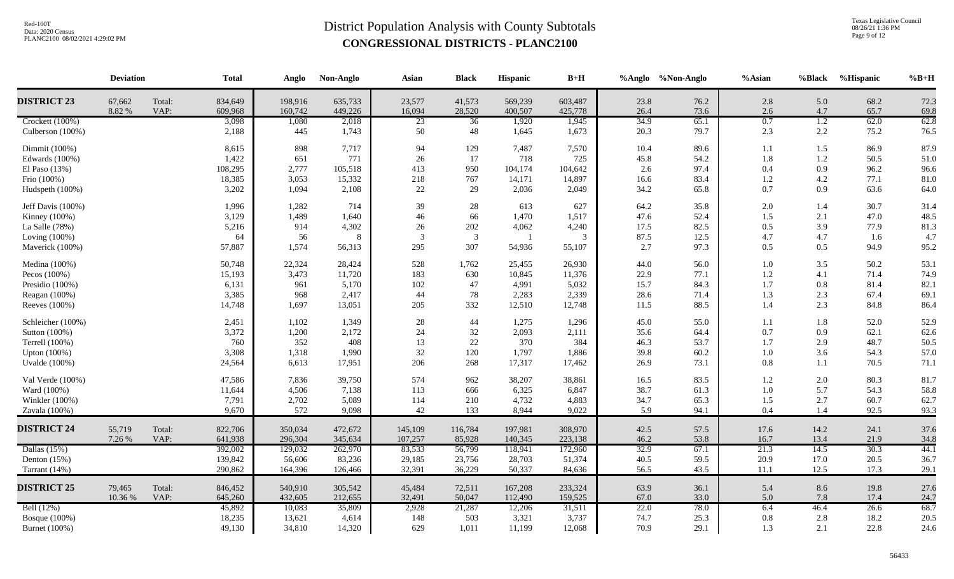Texas Legislative Council 08/26/21 1:36 PM Page 9 of 12

|                    | <b>Deviation</b> |                | <b>Total</b>       | Anglo              | Non-Anglo          | Asian            | <b>Black</b>     | Hispanic           | $B+H$              |              | %Anglo %Non-Anglo | $%$ Asian  | <b>%Black</b> | %Hispanic    | $%B+H$       |
|--------------------|------------------|----------------|--------------------|--------------------|--------------------|------------------|------------------|--------------------|--------------------|--------------|-------------------|------------|---------------|--------------|--------------|
| <b>DISTRICT 23</b> | 67,662<br>8.82 % | Total:<br>VAP: | 834,649<br>609,968 | 198,916<br>160,742 | 635,733<br>449,226 | 23,577<br>16,094 | 41,573<br>28,520 | 569,239<br>400,507 | 603,487<br>425,778 | 23.8<br>26.4 | 76.2<br>73.6      | 2.8<br>2.6 | 5.0<br>4.7    | 68.2<br>65.7 | 72.3<br>69.8 |
| Crockett (100%)    |                  |                | 3,098              | 1,080              | 2,018              | 23               | 36               | 1,920              | 1,945              | 34.9         | 65.1              | 0.7        | 1.2           | 62.0         | 62.8         |
| Culberson (100%)   |                  |                | 2,188              | 445                | 1,743              | 50               | 48               | 1,645              | 1,673              | 20.3         | 79.7              | 2.3        | 2.2           | 75.2         | 76.5         |
| Dimmit (100%)      |                  |                | 8,615              | 898                | 7,717              | 94               | 129              | 7,487              | 7,570              | 10.4         | 89.6              | 1.1        | 1.5           | 86.9         | 87.9         |
| Edwards (100%)     |                  |                | 1,422              | 651                | 771                | 26               | 17               | 718                | 725                | 45.8         | 54.2              | 1.8        | 1.2           | 50.5         | 51.0         |
| El Paso $(13%)$    |                  |                | 108,295            | 2,777              | 105,518            | 413              | 950              | 104,174            | 104,642            | 2.6          | 97.4              | 0.4        | 0.9           | 96.2         | 96.6         |
| Frio (100%)        |                  |                | 18,385             | 3,053              | 15,332             | 218              | 767              | 14,171             | 14,897             | 16.6         | 83.4              | 1.2        | 4.2           | 77.1         | 81.0         |
| Hudspeth (100%)    |                  |                | 3,202              | 1,094              | 2,108              | 22               | 29               | 2,036              | 2,049              | 34.2         | 65.8              | 0.7        | 0.9           | 63.6         | 64.0         |
| Jeff Davis (100%)  |                  |                | 1,996              | 1,282              | 714                | 39               | 28               | 613                | 627                | 64.2         | 35.8              | 2.0        | 1.4           | 30.7         | 31.4         |
| Kinney (100%)      |                  |                | 3,129              | 1,489              | 1,640              | 46               | 66               | 1,470              | 1,517              | 47.6         | 52.4              | 1.5        | 2.1           | 47.0         | 48.5         |
| La Salle (78%)     |                  |                | 5,216              | 914                | 4,302              | 26               | 202              | 4,062              | 4,240              | 17.5         | 82.5              | 0.5        | 3.9           | 77.9         | 81.3         |
| Loving (100%)      |                  |                | 64                 | 56                 | $\,8\,$            | $\mathcal{R}$    | 3                | $\overline{1}$     | 3                  | 87.5         | 12.5              | 4.7        | 4.7           | 1.6          | 4.7          |
| Maverick (100%)    |                  |                | 57,887             | 1,574              | 56,313             | 295              | 307              | 54,936             | 55,107             | 2.7          | 97.3              | 0.5        | 0.5           | 94.9         | 95.2         |
| Medina (100%)      |                  |                | 50,748             | 22,324             | 28,424             | 528              | 1,762            | 25,455             | 26,930             | 44.0         | 56.0              | 1.0        | 3.5           | 50.2         | 53.1         |
| Pecos $(100%)$     |                  |                | 15,193             | 3,473              | 11,720             | 183              | 630              | 10,845             | 11,376             | 22.9         | 77.1              | $1.2\,$    | 4.1           | 71.4         | 74.9         |
| Presidio (100%)    |                  |                | 6,131              | 961                | 5,170              | 102              | 47               | 4,991              | 5,032              | 15.7         | 84.3              | 1.7        | 0.8           | $81.4\,$     | 82.1         |
| Reagan (100%)      |                  |                | 3,385              | 968                | 2,417              | 44               | 78               | 2,283              | 2,339              | 28.6         | 71.4              | 1.3        | 2.3           | 67.4         | 69.1         |
| Reeves (100%)      |                  |                | 14,748             | 1,697              | 13,051             | 205              | 332              | 12,510             | 12,748             | 11.5         | 88.5              | 1.4        | 2.3           | 84.8         | 86.4         |
| Schleicher (100%)  |                  |                | 2,451              | 1,102              | 1,349              | 28               | 44               | 1,275              | 1,296              | 45.0         | 55.0              | 1.1        | 1.8           | 52.0         | 52.9         |
| Sutton (100%)      |                  |                | 3,372              | 1,200              | 2,172              | 24               | 32               | 2,093              | 2,111              | 35.6         | 64.4              | 0.7        | 0.9           | 62.1         | 62.6         |
| Terrell (100%)     |                  |                | 760                | 352                | 408                | 13               | $22\,$           | 370                | 384                | 46.3         | 53.7              | 1.7        | 2.9           | 48.7         | 50.5         |
| Upton (100%)       |                  |                | 3,308              | 1,318              | 1,990              | 32               | 120              | 1,797              | 1,886              | 39.8         | 60.2              | $1.0\,$    | 3.6           | 54.3         | 57.0         |
| Uvalde (100%)      |                  |                | 24,564             | 6,613              | 17,951             | 206              | 268              | 17,317             | 17,462             | 26.9         | 73.1              | 0.8        | 1.1           | 70.5         | 71.1         |
| Val Verde (100%)   |                  |                | 47,586             | 7,836              | 39,750             | 574              | 962              | 38,207             | 38,861             | 16.5         | 83.5              | 1.2        | 2.0           | 80.3         | 81.7         |
| Ward (100%)        |                  |                | 11,644             | 4,506              | 7,138              | 113              | 666              | 6,325              | 6,847              | 38.7         | 61.3              | 1.0        | 5.7           | 54.3         | 58.8         |
| Winkler (100%)     |                  |                | 7,791              | 2,702              | 5,089              | 114              | 210              | 4,732              | 4,883              | 34.7         | 65.3              | 1.5        | 2.7           | 60.7         | 62.7         |
| Zavala (100%)      |                  |                | 9,670              | 572                | 9,098              | 42               | 133              | 8,944              | 9,022              | 5.9          | 94.1              | 0.4        | 1.4           | 92.5         | 93.3         |
| <b>DISTRICT 24</b> | 55,719           | Total:         | 822,706            | 350,034            | 472,672            | 145,109          | 116,784          | 197,981            | 308,970            | 42.5         | 57.5              | 17.6       | 14.2          | 24.1         | 37.6         |
|                    | 7.26 %           | VAP:           | 641,938            | 296,304            | 345,634            | 107,257          | 85,928           | 140,345            | 223,138            | 46.2         | 53.8              | 16.7       | 13.4          | 21.9         | 34.8         |
| Dallas $(15%)$     |                  |                | 392,002            | 129,032            | 262,970            | 83,533           | 56,799           | 118,941            | 172,960            | 32.9         | 67.1              | 21.3       | 14.5          | 30.3         | 44.1         |
| Denton $(15%)$     |                  |                | 139,842            | 56,606             | 83,236             | 29,185           | 23,756           | 28,703             | 51,374             | 40.5         | 59.5              | 20.9       | 17.0          | 20.5         | 36.7         |
| Tarrant $(14%)$    |                  |                | 290,862            | 164,396            | 126,466            | 32,391           | 36,229           | 50,337             | 84,636             | 56.5         | 43.5              | 11.1       | 12.5          | 17.3         | 29.1         |
| <b>DISTRICT 25</b> | 79,465           | Total:         | 846,452            | 540,910            | 305,542            | 45,484           | 72,511           | 167,208            | 233,324            | 63.9         | 36.1              | 5.4        | 8.6           | 19.8         | 27.6         |
|                    | 10.36 %          | VAP:           | 645,260            | 432,605            | 212,655            | 32,491           | 50,047           | 112,490            | 159,525            | 67.0         | 33.0              | 5.0        | 7.8           | 17.4         | 24.7         |
| Bell (12%)         |                  |                | 45,892             | 10,083             | 35,809             | 2,928            | 21,287           | 12,206             | 31,511             | 22.0         | 78.0              | 6.4        | 46.4          | 26.6         | 68.7         |
| Bosque $(100\%)$   |                  |                | 18,235             | 13,621             | 4,614              | 148              | 503              | 3,321              | 3,737              | 74.7         | 25.3              | 0.8        | 2.8           | 18.2         | 20.5         |
| Burnet (100%)      |                  |                | 49,130             | 34,810             | 14,320             | 629              | 1,011            | 11,199             | 12,068             | 70.9         | 29.1              | 1.3        | 2.1           | 22.8         | 24.6         |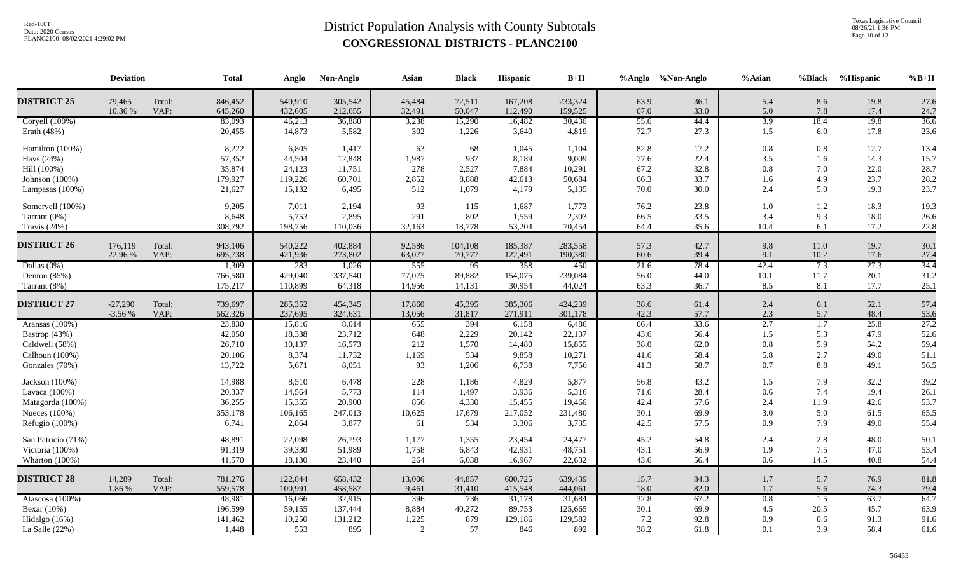Texas Legislative Council 08/26/21 1:36 PM Page 10 of 12

|                                                                                        | <b>Deviation</b>      |                | <b>Total</b>                                   | Anglo                                         | Non-Anglo                                    | Asian                             | <b>Black</b>                             | Hispanic                                     | $\mathbf{B}+\mathbf{H}$                      |                                      | %Anglo %Non-Anglo                    | %Asian                          | %Black                                       | %Hispanic                            | $%B+H$                               |
|----------------------------------------------------------------------------------------|-----------------------|----------------|------------------------------------------------|-----------------------------------------------|----------------------------------------------|-----------------------------------|------------------------------------------|----------------------------------------------|----------------------------------------------|--------------------------------------|--------------------------------------|---------------------------------|----------------------------------------------|--------------------------------------|--------------------------------------|
| <b>DISTRICT 25</b>                                                                     | 79,465<br>10.36 %     | Total:<br>VAP: | 846,452<br>645,260                             | 540,910<br>432,605                            | 305,542<br>212,655                           | 45,484<br>32,491                  | 72,511<br>50,047                         | 167,208<br>112,490                           | 233,324<br>159,525                           | 63.9<br>67.0                         | 36.1<br>33.0                         | 5.4<br>5.0                      | 8.6<br>7.8                                   | 19.8<br>17.4                         | 27.6<br>24.7                         |
| Coryell (100%)<br>Erath (48%)                                                          |                       |                | 83,093<br>20,455                               | 46,213<br>14,873                              | 36,880<br>5,582                              | 3,238<br>302                      | 15,290<br>1,226                          | 16,482<br>3,640                              | 30,436<br>4,819                              | 55.6<br>72.7                         | 44.4<br>27.3                         | 3.9<br>1.5                      | 18.4<br>$6.0\,$                              | 19.8<br>17.8                         | 36.6<br>23.6                         |
| Hamilton (100%)<br>Hays (24%)<br>Hill (100%)<br>Johnson (100%)                         |                       |                | 8,222<br>57,352<br>35,874<br>179,927           | 6,805<br>44,504<br>24,123<br>119,226          | 1,417<br>12,848<br>11,751<br>60,701          | 63<br>1,987<br>278<br>2,852       | 68<br>937<br>2,527<br>8,888              | 1,045<br>8,189<br>7,884<br>42,613            | 1,104<br>9,009<br>10,291<br>50,684           | 82.8<br>77.6<br>67.2<br>66.3         | 17.2<br>22.4<br>32.8<br>33.7         | 0.8<br>3.5<br>0.8<br>1.6        | $0.8\,$<br>1.6<br>7.0<br>4.9                 | 12.7<br>14.3<br>22.0<br>23.7         | 13.4<br>15.7<br>28.7<br>28.2         |
| Lampasas $(100\%)$                                                                     |                       |                | 21,627                                         | 15,132                                        | 6,495                                        | 512                               | 1,079                                    | 4,179                                        | 5,135                                        | 70.0                                 | 30.0                                 | 2.4                             | 5.0                                          | 19.3                                 | 23.7                                 |
| Somervell (100%)<br>Tarrant (0%)<br>Travis (24%)                                       |                       |                | 9,205<br>8,648<br>308,792                      | 7,011<br>5,753<br>198,756                     | 2,194<br>2,895<br>110,036                    | 93<br>291<br>32,163               | 115<br>802<br>18,778                     | 1,687<br>1,559<br>53,204                     | 1,773<br>2,303<br>70,454                     | 76.2<br>66.5<br>64.4                 | 23.8<br>33.5<br>35.6                 | 1.0<br>3.4<br>10.4              | $1.2\,$<br>9.3<br>6.1                        | 18.3<br>18.0<br>17.2                 | 19.3<br>26.6<br>22.8                 |
| <b>DISTRICT 26</b>                                                                     | 176,119<br>22.96 %    | Total:<br>VAP: | 943,106<br>695,738                             | 540,222<br>421,936                            | 402,884<br>273,802                           | 92,586<br>63,077                  | 104,108<br>70,777                        | 185,387<br>122,491                           | 283,558<br>190,380                           | 57.3<br>60.6                         | 42.7<br>39.4                         | 9.8<br>9.1                      | 11.0<br>10.2                                 | 19.7<br>17.6                         | 30.1<br>27.4                         |
| Dallas $(0\%)$<br>Denton $(85%)$<br>Tarrant (8%)                                       |                       |                | 1,309<br>766,580<br>175,217                    | 283<br>429,040<br>110,899                     | 1,026<br>337,540<br>64,318                   | 555<br>77,075<br>14,956           | $\overline{95}$<br>89,882<br>14,131      | 358<br>154,075<br>30,954                     | 450<br>239,084<br>44,024                     | 21.6<br>56.0<br>63.3                 | 78.4<br>44.0<br>36.7                 | 42.4<br>10.1<br>8.5             | 7.3<br>11.7<br>8.1                           | 27.3<br>20.1<br>17.7                 | 34.4<br>31.2<br>25.1                 |
| <b>DISTRICT 27</b>                                                                     | $-27,290$<br>$-3.56%$ | Total:<br>VAP: | 739,697<br>562,326                             | 285,352<br>237,695                            | 454,345<br>324,631                           | 17,860<br>13,056                  | 45,395<br>31,817                         | 385,306<br>271,911                           | 424,239<br>301,178                           | 38.6<br>42.3                         | 61.4<br>57.7                         | 2.4<br>2.3                      | 6.1<br>5.7                                   | 52.1<br>48.4                         | 57.4<br>53.6                         |
| Aransas (100%)<br>Bastrop (43%)<br>Caldwell (58%)<br>Calhoun (100%)<br>Gonzales (70%)  |                       |                | 23,830<br>42,050<br>26,710<br>20,106<br>13,722 | 15,816<br>18,338<br>10,137<br>8,374<br>5,671  | 8,014<br>23,712<br>16,573<br>11,732<br>8,051 | 655<br>648<br>212<br>1,169<br>93  | 394<br>2,229<br>1,570<br>534<br>1,206    | 6,158<br>20,142<br>14,480<br>9,858<br>6,738  | 6,486<br>22,137<br>15,855<br>10,271<br>7,756 | 66.4<br>43.6<br>38.0<br>41.6<br>41.3 | 33.6<br>56.4<br>62.0<br>58.4<br>58.7 | 2.7<br>1.5<br>0.8<br>5.8<br>0.7 | $\overline{1.7}$<br>5.3<br>5.9<br>2.7<br>8.8 | 25.8<br>47.9<br>54.2<br>49.0<br>49.1 | 27.2<br>52.6<br>59.4<br>51.1<br>56.5 |
| Jackson (100%)<br>Lavaca (100%)<br>Matagorda (100%)<br>Nueces (100%)<br>Refugio (100%) |                       |                | 14,988<br>20,337<br>36,255<br>353,178<br>6,741 | 8,510<br>14,564<br>15,355<br>106,165<br>2,864 | 6,478<br>5,773<br>20,900<br>247,013<br>3,877 | 228<br>114<br>856<br>10,625<br>61 | 1,186<br>1,497<br>4,330<br>17,679<br>534 | 4,829<br>3,936<br>15,455<br>217,052<br>3,306 | 5,877<br>5,316<br>19,466<br>231,480<br>3,735 | 56.8<br>71.6<br>42.4<br>30.1<br>42.5 | 43.2<br>28.4<br>57.6<br>69.9<br>57.5 | 1.5<br>0.6<br>2.4<br>3.0<br>0.9 | 7.9<br>7.4<br>11.9<br>5.0<br>7.9             | 32.2<br>19.4<br>42.6<br>61.5<br>49.0 | 39.2<br>26.1<br>53.7<br>65.5<br>55.4 |
| San Patricio (71%)<br>Victoria (100%)<br>Wharton (100%)                                |                       |                | 48,891<br>91,319<br>41,570                     | 22,098<br>39,330<br>18,130                    | 26,793<br>51,989<br>23,440                   | 1,177<br>1,758<br>264             | 1,355<br>6,843<br>6,038                  | 23,454<br>42,931<br>16,967                   | 24,477<br>48,751<br>22,632                   | 45.2<br>43.1<br>43.6                 | 54.8<br>56.9<br>56.4                 | 2.4<br>1.9<br>0.6               | 2.8<br>7.5<br>14.5                           | 48.0<br>47.0<br>40.8                 | 50.1<br>53.4<br>54.4                 |
| <b>DISTRICT 28</b>                                                                     | 14,289<br>1.86 %      | Total:<br>VAP: | 781,276<br>559,578                             | 122,844<br>100,991                            | 658,432<br>458,587                           | 13,006<br>9,461                   | 44,857<br>31,410                         | 600,725<br>415,548                           | 639,439<br>444,061                           | 15.7<br>18.0                         | 84.3<br>82.0                         | 1.7<br>1.7                      | 5.7<br>5.6                                   | 76.9<br>74.3                         | 81.8<br>79.4                         |
| Atascosa (100%)<br>Bexar (10%)<br>Hidalgo (16%)<br>La Salle $(22%)$                    |                       |                | 48,981<br>196,599<br>141,462<br>1,448          | 16,066<br>59,155<br>10,250<br>553             | 32,915<br>137,444<br>131,212<br>895          | 396<br>8,884<br>1,225<br>2        | 736<br>40,272<br>879<br>57               | 31,178<br>89,753<br>129,186<br>846           | 31,684<br>125,665<br>129,582<br>892          | 32.8<br>30.1<br>7.2<br>38.2          | 67.2<br>69.9<br>92.8<br>61.8         | 0.8<br>4.5<br>0.9<br>0.1        | $\overline{1.5}$<br>20.5<br>0.6<br>3.9       | 63.7<br>45.7<br>91.3<br>58.4         | 64.7<br>63.9<br>91.6<br>61.6         |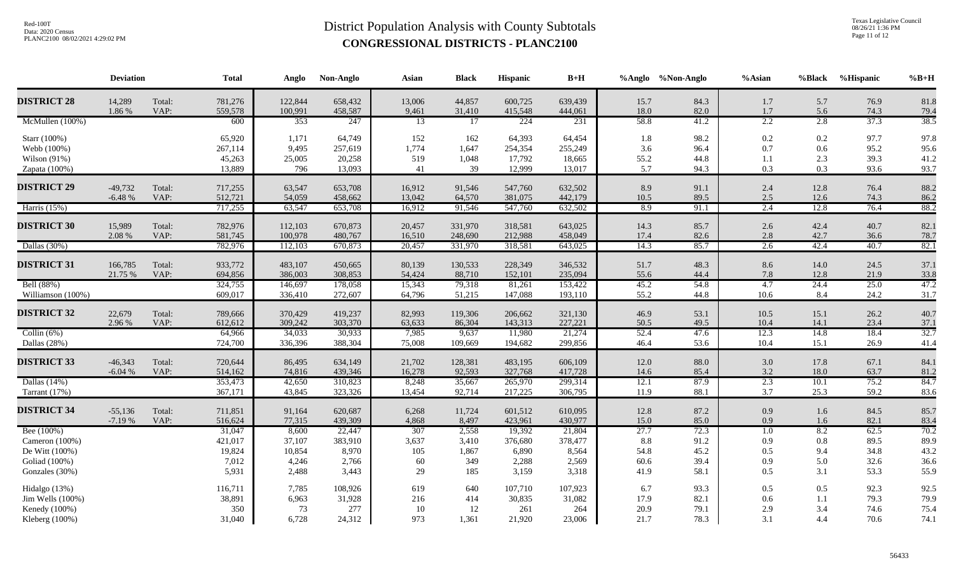Texas Legislative Council 08/26/21 1:36 PM Page 11 of 12

|                                                                      | <b>Deviation</b>      |                | <b>Total</b>                          | Anglo                              | Non-Anglo                             | Asian                     | <b>Black</b>                   | Hispanic                              | $B+H$                                 |                             | %Anglo %Non-Anglo            | $%$ Asian                             | %Black                   | %Hispanic                    | $%B+H$                       |
|----------------------------------------------------------------------|-----------------------|----------------|---------------------------------------|------------------------------------|---------------------------------------|---------------------------|--------------------------------|---------------------------------------|---------------------------------------|-----------------------------|------------------------------|---------------------------------------|--------------------------|------------------------------|------------------------------|
| <b>DISTRICT 28</b>                                                   | 14,289<br>1.86 %      | Total:<br>VAP: | 781,276<br>559,578                    | 122,844<br>100,991                 | 658,432<br>458,587                    | 13,006<br>9,461           | 44,857<br>31,410               | 600,725<br>415,548                    | 639,439<br>444,061                    | 15.7<br>18.0                | 84.3<br>82.0                 | 1.7<br>1.7                            | 5.7<br>5.6               | 76.9<br>74.3                 | 81.8<br>79.4                 |
| McMullen (100%)                                                      |                       |                | 600                                   | 353                                | 247                                   | 13                        | 17                             | 224                                   | 231                                   | 58.8                        | 41.2                         | 2.2                                   | 2.8                      | 37.3                         | 38.5                         |
| Starr (100%)<br>Webb (100%)<br>Wilson $(91%)$<br>Zapata (100%)       |                       |                | 65,920<br>267,114<br>45,263<br>13,889 | 1,171<br>9,495<br>25,005<br>796    | 64,749<br>257,619<br>20,258<br>13,093 | 152<br>1,774<br>519<br>41 | 162<br>1,647<br>1,048<br>39    | 64,393<br>254,354<br>17,792<br>12,999 | 64,454<br>255,249<br>18,665<br>13,017 | 1.8<br>3.6<br>55.2<br>5.7   | 98.2<br>96.4<br>44.8<br>94.3 | 0.2<br>0.7<br>1.1<br>0.3              | 0.2<br>0.6<br>2.3<br>0.3 | 97.7<br>95.2<br>39.3<br>93.6 | 97.8<br>95.6<br>41.2<br>93.7 |
| <b>DISTRICT 29</b>                                                   | $-49,732$<br>$-6.48%$ | Total:<br>VAP: | 717,255<br>512,721                    | 63,547<br>54,059                   | 653,708<br>458,662                    | 16,912<br>13,042          | 91,546<br>64,570               | 547,760<br>381,075                    | 632,502<br>442,179                    | 8.9<br>10.5                 | 91.1<br>89.5                 | 2.4<br>2.5                            | 12.8<br>12.6             | 76.4<br>74.3                 | 88.2<br>86.2                 |
| Harris $(15%)$                                                       |                       |                | 717,255                               | 63,547                             | 653,708                               | 16,912                    | 91,546                         | 547,760                               | 632,502                               | 8.9                         | 91.1                         | 2.4                                   | 12.8                     | 76.4                         | 88.2                         |
| <b>DISTRICT 30</b>                                                   | 15,989<br>2.08 %      | Total:<br>VAP: | 782,976<br>581,745                    | 112,103<br>100,978                 | 670,873<br>480,767                    | 20,457<br>16,510          | 331,970<br>248,690             | 318,581<br>212,988                    | 643,025<br>458,049                    | 14.3<br>17.4                | 85.7<br>82.6                 | 2.6<br>2.8                            | 42.4<br>42.7             | 40.7<br>36.6                 | 82.1<br>78.7                 |
| Dallas (30%)                                                         |                       |                | 782,976                               | 112,103                            | 670,873                               | 20,457                    | 331,970                        | 318,581                               | 643,025                               | 14.3                        | 85.7                         | 2.6                                   | 42.4                     | 40.7                         | 82.1                         |
| <b>DISTRICT 31</b>                                                   | 166,785<br>21.75 %    | Total:<br>VAP: | 933,772<br>694,856                    | 483,107<br>386,003                 | 450,665<br>308,853                    | 80,139<br>54,424          | 130,533<br>88,710              | 228,349<br>152,101                    | 346,532<br>235,094                    | 51.7<br>55.6                | 48.3<br>44.4                 | 8.6<br>7.8                            | 14.0<br>12.8             | 24.5<br>21.9                 | 37.1<br>33.8                 |
| Bell (88%)<br>Williamson (100%)                                      |                       |                | 324,755<br>609,017                    | 146,697<br>336,410                 | 178,058<br>272,607                    | 15,343<br>64,796          | 79,318<br>51,215               | 81,261<br>147,088                     | 153,422<br>193,110                    | 45.2<br>55.2                | 54.8<br>44.8                 | 4.7<br>10.6                           | 24.4<br>8.4              | 25.0<br>24.2                 | 47.2<br>31.7                 |
| <b>DISTRICT 32</b>                                                   | 22,679<br>2.96 %      | Total:<br>VAP: | 789,666<br>612,612                    | 370,429<br>309,242                 | 419,237<br>303,370                    | 82,993<br>63,633          | 119,306<br>86,304              | 206,662<br>143,313                    | 321,130<br>227,221                    | 46.9<br>50.5                | 53.1<br>49.5                 | 10.5<br>10.4                          | 15.1<br>14.1             | 26.2<br>23.4                 | 40.7<br>37.1                 |
| Collin $(6%)$<br>Dallas (28%)                                        |                       |                | 64,966<br>724,700                     | 34,033<br>336,396                  | 30,933<br>388,304                     | 7,985<br>75,008           | 9,637<br>109,669               | 11,980<br>194,682                     | 21,274<br>299,856                     | 52.4<br>46.4                | 47.6<br>53.6                 | 12.3<br>10.4                          | 14.8<br>15.1             | 18.4<br>26.9                 | 32.7<br>41.4                 |
| <b>DISTRICT 33</b>                                                   | $-46,343$<br>$-6.04%$ | Total:<br>VAP: | 720,644<br>514,162                    | 86,495<br>74,816                   | 634,149<br>439,346                    | 21,702<br>16,278          | 128,381<br>92,593              | 483,195<br>327,768                    | 606,109<br>417,728                    | 12.0<br>14.6                | 88.0<br>85.4                 | 3.0<br>3.2                            | 17.8<br>18.0             | 67.1<br>63.7                 | 84.1<br>81.2                 |
| Dallas $(14%)$<br>Tarrant (17%)                                      |                       |                | 353,473<br>367,171                    | 42,650<br>43,845                   | 310,823<br>323,326                    | 8,248<br>13,454           | 35,667<br>92,714               | 265,970<br>217,225                    | 299,314<br>306,795                    | 12.1<br>11.9                | 87.9<br>88.1                 | 2.3<br>3.7                            | 10.1<br>25.3             | 75.2<br>59.2                 | 84.7<br>83.6                 |
| <b>DISTRICT 34</b>                                                   | $-55,136$<br>$-7.19%$ | Total:<br>VAP: | 711,851<br>516,624                    | 91,164<br>77,315                   | 620,687<br>439,309                    | 6,268<br>4,868            | 11,724<br>8,497                | 601,512<br>423,961                    | 610,095<br>430,977                    | 12.8<br>15.0                | 87.2<br>85.0                 | 0.9<br>0.9                            | 1.6<br>1.6               | 84.5<br>82.1                 | 85.7<br>83.4                 |
| Bee (100%)<br>Cameron (100%)<br>De Witt (100%)<br>Goliad (100%)      |                       |                | 31,047<br>421,017<br>19,824<br>7,012  | 8,600<br>37,107<br>10,854<br>4,246 | 22,447<br>383,910<br>8,970<br>2,766   | 307<br>3,637<br>105<br>60 | 2,558<br>3,410<br>1,867<br>349 | 19,392<br>376,680<br>6,890<br>2,288   | 21,804<br>378,477<br>8,564<br>2,569   | 27.7<br>8.8<br>54.8<br>60.6 | 72.3<br>91.2<br>45.2<br>39.4 | $\overline{1.0}$<br>0.9<br>0.5<br>0.9 | 8.2<br>0.8<br>9.4<br>5.0 | 62.5<br>89.5<br>34.8<br>32.6 | 70.2<br>89.9<br>43.2<br>36.6 |
| Gonzales (30%)                                                       |                       |                | 5,931                                 | 2,488                              | 3,443                                 | 29                        | 185                            | 3,159                                 | 3,318                                 | 41.9                        | 58.1                         | 0.5                                   | 3.1                      | 53.3                         | 55.9                         |
| Hidalgo (13%)<br>Jim Wells (100%)<br>Kenedy (100%)<br>Kleberg (100%) |                       |                | 116,711<br>38,891<br>350<br>31,040    | 7,785<br>6,963<br>73<br>6,728      | 108,926<br>31,928<br>277<br>24,312    | 619<br>216<br>10<br>973   | 640<br>414<br>12<br>1,361      | 107,710<br>30,835<br>261<br>21,920    | 107,923<br>31,082<br>264<br>23,006    | 6.7<br>17.9<br>20.9<br>21.7 | 93.3<br>82.1<br>79.1<br>78.3 | 0.5<br>0.6<br>2.9<br>3.1              | 0.5<br>1.1<br>3.4<br>4.4 | 92.3<br>79.3<br>74.6<br>70.6 | 92.5<br>79.9<br>75.4<br>74.1 |